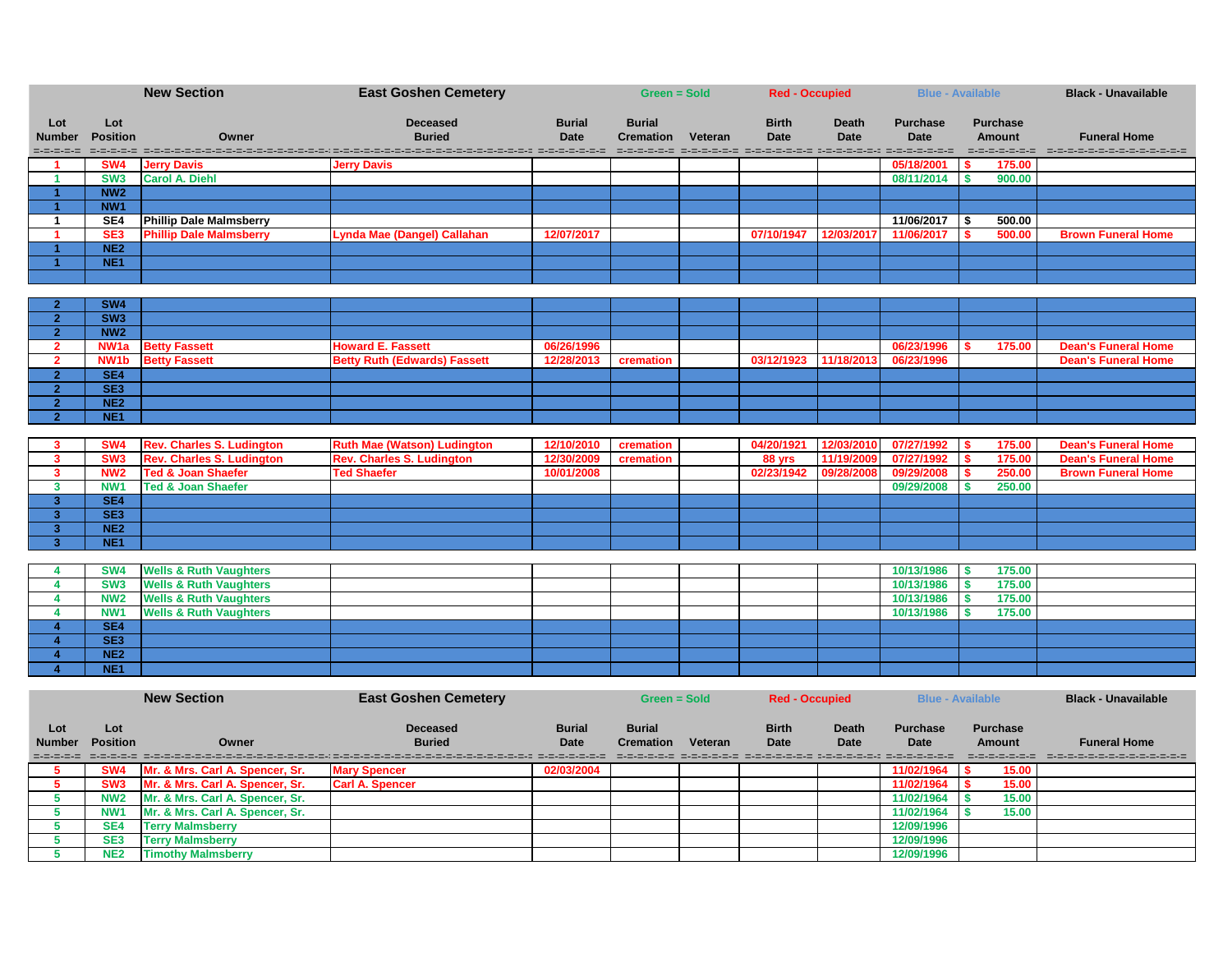|                   |                                    | <b>New Section</b>                | <b>East Goshen Cemetery</b>         |               | Green = Sold     |         | <b>Red - Occupied</b>                                                |              |                 | <b>Blue - Available</b> | <b>Black - Unavailable</b>               |
|-------------------|------------------------------------|-----------------------------------|-------------------------------------|---------------|------------------|---------|----------------------------------------------------------------------|--------------|-----------------|-------------------------|------------------------------------------|
| Lot               | Lot                                |                                   | <b>Deceased</b>                     | <b>Burial</b> | <b>Burial</b>    |         | <b>Birth</b>                                                         | <b>Death</b> | <b>Purchase</b> | <b>Purchase</b>         |                                          |
| <b>Number</b>     | <b>Position</b>                    | Owner                             | <b>Buried</b>                       | <b>Date</b>   | <b>Cremation</b> | Veteran | <b>Date</b>                                                          | <b>Date</b>  | <b>Date</b>     | <b>Amount</b>           | <b>Funeral Home</b>                      |
| =-=-=-=-=         |                                    |                                   |                                     |               |                  |         |                                                                      |              |                 | =-=-=-=-=-=-=           | in de de de de de de de de de de de de d |
|                   | SW <sub>4</sub>                    | <b>Jerry Davis</b>                | <b>Jerry Davis</b>                  |               |                  |         |                                                                      |              | 05/18/2001      | 175.00                  |                                          |
|                   | SW <sub>3</sub>                    | <b>Carol A. Diehl</b>             |                                     |               |                  |         |                                                                      |              | 08/11/2014      | 900.00                  |                                          |
|                   | NW <sub>2</sub>                    |                                   |                                     |               |                  |         |                                                                      |              |                 |                         |                                          |
|                   | NW <sub>1</sub>                    |                                   |                                     |               |                  |         |                                                                      |              |                 |                         |                                          |
|                   | SE4                                | <b>Phillip Dale Malmsberry</b>    |                                     |               |                  |         |                                                                      |              | 11/06/2017      | 500.00<br>-S            |                                          |
|                   | SE <sub>3</sub><br>NE <sub>2</sub> | <b>Phillip Dale Malmsberry</b>    | <b>Lynda Mae (Dangel) Callahan</b>  | 12/07/2017    |                  |         | 07/10/1947                                                           | 12/03/2017   | 11/06/2017      | 500.00                  | <b>Brown Funeral Home</b>                |
|                   | NE <sub>1</sub>                    |                                   |                                     |               |                  |         |                                                                      |              |                 |                         |                                          |
|                   |                                    |                                   |                                     |               |                  |         |                                                                      |              |                 |                         |                                          |
|                   |                                    |                                   |                                     |               |                  |         |                                                                      |              |                 |                         |                                          |
|                   | SW4                                |                                   |                                     |               |                  |         |                                                                      |              |                 |                         |                                          |
| 2 <sub>1</sub>    | SW3                                |                                   |                                     |               |                  |         |                                                                      |              |                 |                         |                                          |
| 2 <sup>1</sup>    | NW <sub>2</sub>                    |                                   |                                     |               |                  |         |                                                                      |              |                 |                         |                                          |
| 2 <sup>1</sup>    | NW <sub>1a</sub>                   | <b>Betty Fassett</b>              | <b>Howard E. Fassett</b>            | 06/26/1996    |                  |         |                                                                      |              | 06/23/1996      | 175.00                  | <b>Dean's Funeral Home</b>               |
| 2 <sup>1</sup>    | NW <sub>1</sub> b                  | <b>Betty Fassett</b>              | <b>Betty Ruth (Edwards) Fassett</b> | 12/28/2013    | cremation        |         | 03/12/1923                                                           | 11/18/2013   | 06/23/1996      |                         | <b>Dean's Funeral Home</b>               |
| 2 <sub>1</sub>    | SE4                                |                                   |                                     |               |                  |         |                                                                      |              |                 |                         |                                          |
| 2 <sup>1</sup>    | SE3                                |                                   |                                     |               |                  |         |                                                                      |              |                 |                         |                                          |
| 2 <sup>1</sup>    | NE <sub>2</sub>                    |                                   |                                     |               |                  |         |                                                                      |              |                 |                         |                                          |
| 2 <sup>1</sup>    | NE <sub>1</sub>                    |                                   |                                     |               |                  |         |                                                                      |              |                 |                         |                                          |
|                   | SW <sub>4</sub>                    | <b>Rev. Charles S. Ludington</b>  | <b>Ruth Mae (Watson) Ludington</b>  | 12/10/2010    | cremation        |         | 04/20/1921                                                           | 12/03/2010   | 07/27/1992      | 175.00                  | <b>Dean's Funeral Home</b>               |
| 3<br>$\mathbf{3}$ | SW <sub>3</sub>                    | <b>Rev. Charles S. Ludington</b>  | <b>Rev. Charles S. Ludington</b>    | 12/30/2009    | cremation        |         | 88 yrs                                                               | 11/19/2009   | 07/27/1992      | 175.00                  | <b>Dean's Funeral Home</b>               |
| $\mathbf{3}$      | NW <sub>2</sub>                    | <b>Ted &amp; Joan Shaefer</b>     | <b>Ted Shaefer</b>                  | 10/01/2008    |                  |         | 02/23/1942                                                           | 09/28/2008   | 09/29/2008      | 250.00                  | <b>Brown Funeral Home</b>                |
| 3 <sup>1</sup>    | NW <sub>1</sub>                    | <b>Ted &amp; Joan Shaefer</b>     |                                     |               |                  |         |                                                                      |              | 09/29/2008      | 250.00                  |                                          |
| 3 <sup>1</sup>    | SE4                                |                                   |                                     |               |                  |         |                                                                      |              |                 |                         |                                          |
| 3 <sup>1</sup>    | SE3                                |                                   |                                     |               |                  |         |                                                                      |              |                 |                         |                                          |
| 3 <sup>1</sup>    | NE <sub>2</sub>                    |                                   |                                     |               |                  |         |                                                                      |              |                 |                         |                                          |
| 3                 | NE <sub>1</sub>                    |                                   |                                     |               |                  |         |                                                                      |              |                 |                         |                                          |
|                   |                                    |                                   |                                     |               |                  |         |                                                                      |              |                 |                         |                                          |
|                   | <b>SW4</b>                         | <b>Wells &amp; Ruth Vaughters</b> |                                     |               |                  |         |                                                                      |              | 10/13/1986      | 175.00<br>-S            |                                          |
| 4                 | SW <sub>3</sub>                    | <b>Wells &amp; Ruth Vaughters</b> |                                     |               |                  |         |                                                                      |              | 10/13/1986      | 175.00<br>\$            |                                          |
| 4                 | <b>NW2</b>                         | <b>Wells &amp; Ruth Vaughters</b> |                                     |               |                  |         |                                                                      |              | 10/13/1986      | 175.00<br>\$            |                                          |
|                   | NW <sub>1</sub>                    | <b>Wells &amp; Ruth Vaughters</b> |                                     |               |                  |         |                                                                      |              | 10/13/1986      | 175.00                  |                                          |
|                   | SE4<br>SE <sub>3</sub>             |                                   |                                     |               |                  |         |                                                                      |              |                 |                         |                                          |
|                   | NE <sub>2</sub>                    |                                   |                                     |               |                  |         |                                                                      |              |                 |                         |                                          |
|                   | NE <sub>1</sub>                    |                                   |                                     |               |                  |         |                                                                      |              |                 |                         |                                          |
|                   |                                    |                                   |                                     |               |                  |         |                                                                      |              |                 |                         |                                          |
|                   |                                    | <b>New Section</b>                | <b>East Goshen Cemetery</b>         |               | Green = Sold     |         | <b>Red - Occupied</b>                                                |              |                 | <b>Blue - Available</b> | <b>Black - Unavailable</b>               |
|                   |                                    |                                   |                                     |               |                  |         |                                                                      |              |                 |                         |                                          |
| Lot               | Lot                                |                                   | <b>Deceased</b>                     | <b>Burial</b> | <b>Burial</b>    |         | <b>Birth</b>                                                         | <b>Death</b> | <b>Purchase</b> | <b>Purchase</b>         |                                          |
| <b>Number</b>     | <b>Position</b>                    | Owner                             | <b>Buried</b>                       | Date          | <b>Cremation</b> | Veteran | <b>Date</b>                                                          | <b>Date</b>  | <b>Date</b>     | <b>Amount</b>           | <b>Funeral Home</b>                      |
| =-=-=-=-=         |                                    |                                   | ----------------------------        |               |                  |         | ataratarata atsiratarata dia terdengentean pendedikan dia pendedikan |              |                 | =-=-=-=-=-=-=           | -----------------------                  |
| 5                 | SW <sub>4</sub>                    | Mr. & Mrs. Carl A. Spencer, Sr.   | <b>Mary Spencer</b>                 | 02/03/2004    |                  |         |                                                                      |              | 11/02/1964      | 15.00                   |                                          |
| 5                 | SW <sub>3</sub>                    | Mr. & Mrs. Carl A. Spencer, Sr.   | <b>Carl A. Spencer</b>              |               |                  |         |                                                                      |              | 11/02/1964      | 15.00<br>S.             |                                          |
| 5 <sup>5</sup>    | <b>NW2</b>                         | Mr. & Mrs. Carl A. Spencer, Sr.   |                                     |               |                  |         |                                                                      |              | 11/02/1964      | 15.00<br>\$             |                                          |
| $5\phantom{.0}$   | <b>NW1</b>                         | Mr. & Mrs. Carl A. Spencer, Sr.   |                                     |               |                  |         |                                                                      |              | 11/02/1964      | 15.00<br>S.             |                                          |
| $5\phantom{.0}$   | SE4                                | <b>Terry Malmsberry</b>           |                                     |               |                  |         |                                                                      |              | 12/09/1996      |                         |                                          |
| 5 <sup>5</sup>    | SE <sub>3</sub><br><b>NE2</b>      | <b>Terry Malmsberry</b>           |                                     |               |                  |         |                                                                      |              | 12/09/1996      |                         |                                          |
| 5                 |                                    | <b>Timothy Malmsberry</b>         |                                     |               |                  |         |                                                                      |              | 12/09/1996      |                         |                                          |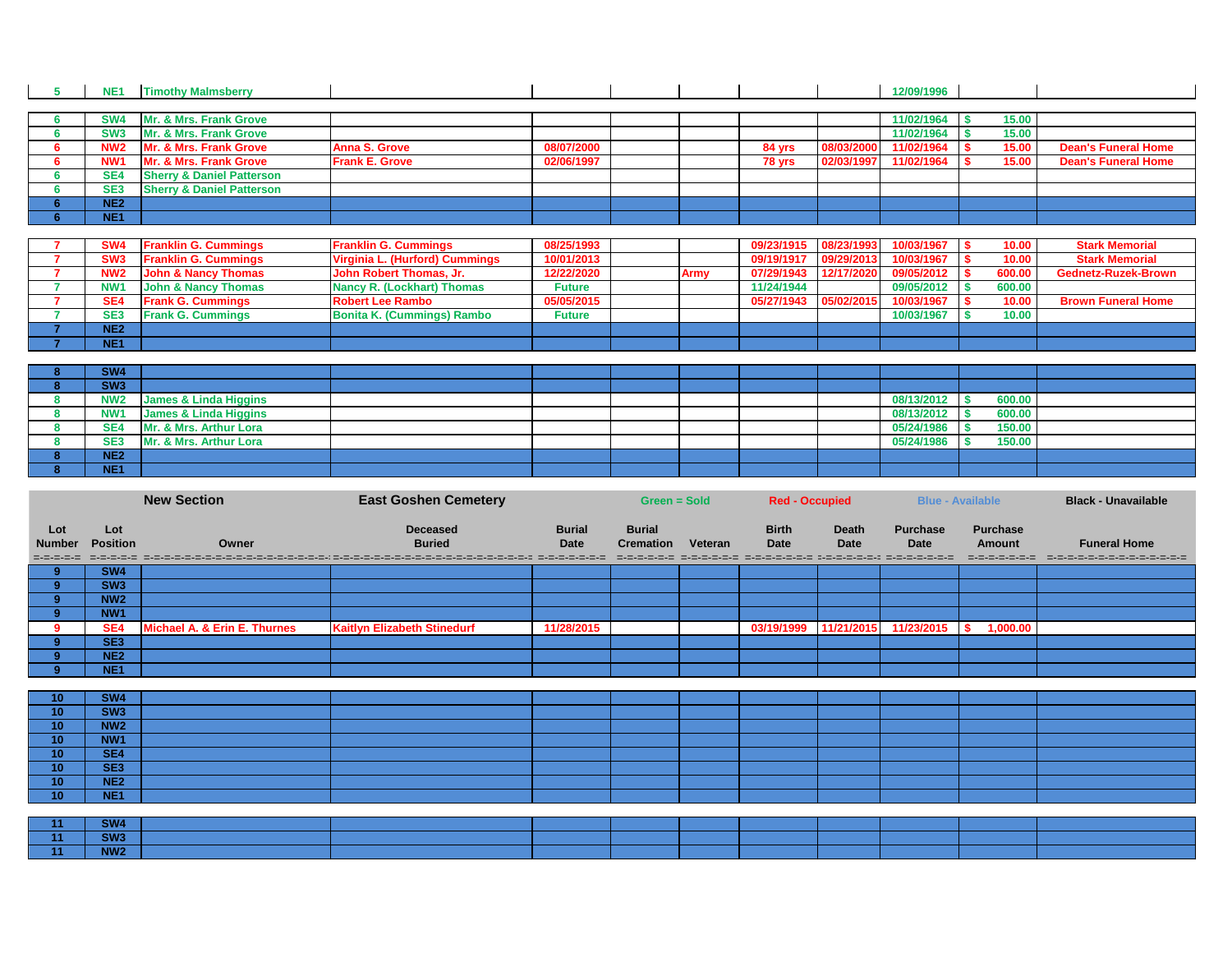| 5  | NE <sub>1</sub> | <b>Timothy Malmsberry</b>            |                                   |               |             |            |            | 12/09/1996 |    |        |                            |
|----|-----------------|--------------------------------------|-----------------------------------|---------------|-------------|------------|------------|------------|----|--------|----------------------------|
|    |                 |                                      |                                   |               |             |            |            |            |    |        |                            |
|    | SW4             | Mr. & Mrs. Frank Grove               |                                   |               |             |            |            | 11/02/1964 | S. | 15.00  |                            |
|    | SW <sub>3</sub> | Mr. & Mrs. Frank Grove               |                                   |               |             |            |            | 11/02/1964 |    | 15.00  |                            |
|    | <b>NW2</b>      | Mr. & Mrs. Frank Grove               | <b>Anna S. Grove</b>              | 08/07/2000    |             | 84 yrs     | 08/03/2000 | 11/02/1964 |    | 15.00  | <b>Dean's Funeral Home</b> |
| 6. | NW <sub>1</sub> | Mr. & Mrs. Frank Grove               | <b>Frank E. Grove</b>             | 02/06/1997    |             | 78 yrs     | 02/03/1997 | 11/02/1964 |    | 15.00  | <b>Dean's Funeral Home</b> |
|    | SE4             | <b>Sherry &amp; Daniel Patterson</b> |                                   |               |             |            |            |            |    |        |                            |
|    | SE <sub>3</sub> | <b>Sherry &amp; Daniel Patterson</b> |                                   |               |             |            |            |            |    |        |                            |
|    | NE <sub>2</sub> |                                      |                                   |               |             |            |            |            |    |        |                            |
|    | NE <sub>1</sub> |                                      |                                   |               |             |            |            |            |    |        |                            |
|    |                 |                                      |                                   |               |             |            |            |            |    |        |                            |
|    | SW4             | <b>Franklin G. Cummings</b>          | <b>Franklin G. Cummings</b>       | 08/25/1993    |             | 09/23/1915 | 08/23/1993 | 10/03/1967 |    | 10.00  | <b>Stark Memorial</b>      |
|    | SW <sub>3</sub> | <b>Franklin G. Cummings</b>          | Virginia L. (Hurford) Cummings    | 10/01/2013    |             | 09/19/1917 | 09/29/2013 | 10/03/1967 |    | 10.00  | <b>Stark Memorial</b>      |
|    | <b>NW2</b>      | <b>John &amp; Nancy Thomas</b>       | John Robert Thomas, Jr.           | 12/22/2020    | <b>Army</b> | 07/29/1943 | 12/17/2020 | 09/05/2012 |    | 600.00 | <b>Gednetz-Ruzek-Brown</b> |
|    | NW <sub>1</sub> | <b>John &amp; Nancy Thomas</b>       | <b>Nancy R. (Lockhart) Thomas</b> | <b>Future</b> |             | 11/24/1944 |            | 09/05/2012 |    | 600.00 |                            |
|    | SE4             | <b>Frank G. Cummings</b>             | <b>Robert Lee Rambo</b>           | 05/05/2015    |             | 05/27/1943 | 05/02/2015 | 10/03/1967 |    | 10.00  | <b>Brown Funeral Home</b>  |
|    | SE <sub>3</sub> | <b>Frank G. Cummings</b>             | <b>Bonita K. (Cummings) Rambo</b> | <b>Future</b> |             |            |            | 10/03/1967 |    | 10.00  |                            |
|    | NE <sub>2</sub> |                                      |                                   |               |             |            |            |            |    |        |                            |
|    | NE <sub>1</sub> |                                      |                                   |               |             |            |            |            |    |        |                            |
|    |                 |                                      |                                   |               |             |            |            |            |    |        |                            |
|    | <b>SW4</b>      |                                      |                                   |               |             |            |            |            |    |        |                            |
|    | SW3             |                                      |                                   |               |             |            |            |            |    |        |                            |
| 8  | <b>NW2</b>      | <b>James &amp; Linda Higgins</b>     |                                   |               |             |            |            | 08/13/2012 |    | 600.00 |                            |
|    | NW <sub>1</sub> | James & Linda Higgins                |                                   |               |             |            |            | 08/13/2012 |    | 600.00 |                            |
|    | SE4             | Mr. & Mrs. Arthur Lora               |                                   |               |             |            |            | 05/24/1986 |    | 150.00 |                            |
|    | SE <sub>3</sub> | Mr. & Mrs. Arthur Lora               |                                   |               |             |            |            | 05/24/1986 |    | 150.00 |                            |
|    | <b>NE2</b>      |                                      |                                   |               |             |            |            |            |    |        |                            |

|                                   | <b>New Section</b>     |                              | <b>East Goshen Cemetery</b>        |                              | <b>Green = Sold</b>                             |         | <b>Red - Occupied</b>                                                                        |                             |                                | <b>Blue - Available</b>                          | <b>Black - Unavailable</b>                             |
|-----------------------------------|------------------------|------------------------------|------------------------------------|------------------------------|-------------------------------------------------|---------|----------------------------------------------------------------------------------------------|-----------------------------|--------------------------------|--------------------------------------------------|--------------------------------------------------------|
| Lot<br><b>Number</b><br>=-=-=-=-= | Lot<br><b>Position</b> | Owner                        | <b>Deceased</b><br><b>Buried</b>   | <b>Burial</b><br><b>Date</b> | <b>Burial</b><br><b>Cremation</b><br>---------- | Veteran | <b>Birth</b><br><b>Date</b><br>strategies in die strategie bestehet die strategiese bestehet | <b>Death</b><br><b>Date</b> | <b>Purchase</b><br><b>Date</b> | <b>Purchase</b><br><b>Amount</b><br>------------ | <b>Funeral Home</b><br>- ロ・コ・ロ・コ・コ・コ・コ・コ・コ・コ・コ・コ・コ・コ・コ |
| $9^{\circ}$                       | SW <sub>4</sub>        |                              |                                    |                              |                                                 |         |                                                                                              |                             |                                |                                                  |                                                        |
| 9 <sup>°</sup>                    | SW <sub>3</sub>        |                              |                                    |                              |                                                 |         |                                                                                              |                             |                                |                                                  |                                                        |
| 9 <sup>°</sup>                    | NW <sub>2</sub>        |                              |                                    |                              |                                                 |         |                                                                                              |                             |                                |                                                  |                                                        |
| 9 <sup>°</sup>                    | NW <sub>1</sub>        |                              |                                    |                              |                                                 |         |                                                                                              |                             |                                |                                                  |                                                        |
| 9                                 | SE4                    | Michael A. & Erin E. Thurnes | <b>Kaitlyn Elizabeth Stinedurf</b> | 11/28/2015                   |                                                 |         | 03/19/1999                                                                                   |                             | 11/21/2015 11/23/2015          | 1,000.00<br>S.                                   |                                                        |
| 9 <sup>°</sup>                    | SE3                    |                              |                                    |                              |                                                 |         |                                                                                              |                             |                                |                                                  |                                                        |
| 9 <sup>°</sup>                    | NE <sub>2</sub>        |                              |                                    |                              |                                                 |         |                                                                                              |                             |                                |                                                  |                                                        |
| $9^{\circ}$                       | NE <sub>1</sub>        |                              |                                    |                              |                                                 |         |                                                                                              |                             |                                |                                                  |                                                        |
|                                   |                        |                              |                                    |                              |                                                 |         |                                                                                              |                             |                                |                                                  |                                                        |
| 10 <sub>1</sub>                   | <b>SW4</b>             |                              |                                    |                              |                                                 |         |                                                                                              |                             |                                |                                                  |                                                        |
| 10                                | SW3                    |                              |                                    |                              |                                                 |         |                                                                                              |                             |                                |                                                  |                                                        |
| 10 <sub>1</sub>                   | NW <sub>2</sub>        |                              |                                    |                              |                                                 |         |                                                                                              |                             |                                |                                                  |                                                        |
| 10                                | NW <sub>1</sub>        |                              |                                    |                              |                                                 |         |                                                                                              |                             |                                |                                                  |                                                        |
| 10 <sub>1</sub>                   | SE4                    |                              |                                    |                              |                                                 |         |                                                                                              |                             |                                |                                                  |                                                        |
| 10 <sub>1</sub>                   | SE <sub>3</sub>        |                              |                                    |                              |                                                 |         |                                                                                              |                             |                                |                                                  |                                                        |
| 10 <sub>1</sub>                   | NE <sub>2</sub>        |                              |                                    |                              |                                                 |         |                                                                                              |                             |                                |                                                  |                                                        |
| 10                                | NE <sub>1</sub>        |                              |                                    |                              |                                                 |         |                                                                                              |                             |                                |                                                  |                                                        |
|                                   |                        |                              |                                    |                              |                                                 |         |                                                                                              |                             |                                |                                                  |                                                        |
| 11                                | SW4                    |                              |                                    |                              |                                                 |         |                                                                                              |                             |                                |                                                  |                                                        |
| 11                                | SW3                    |                              |                                    |                              |                                                 |         |                                                                                              |                             |                                |                                                  |                                                        |
| 11                                | NW <sub>2</sub>        |                              |                                    |                              |                                                 |         |                                                                                              |                             |                                |                                                  |                                                        |

**NE1**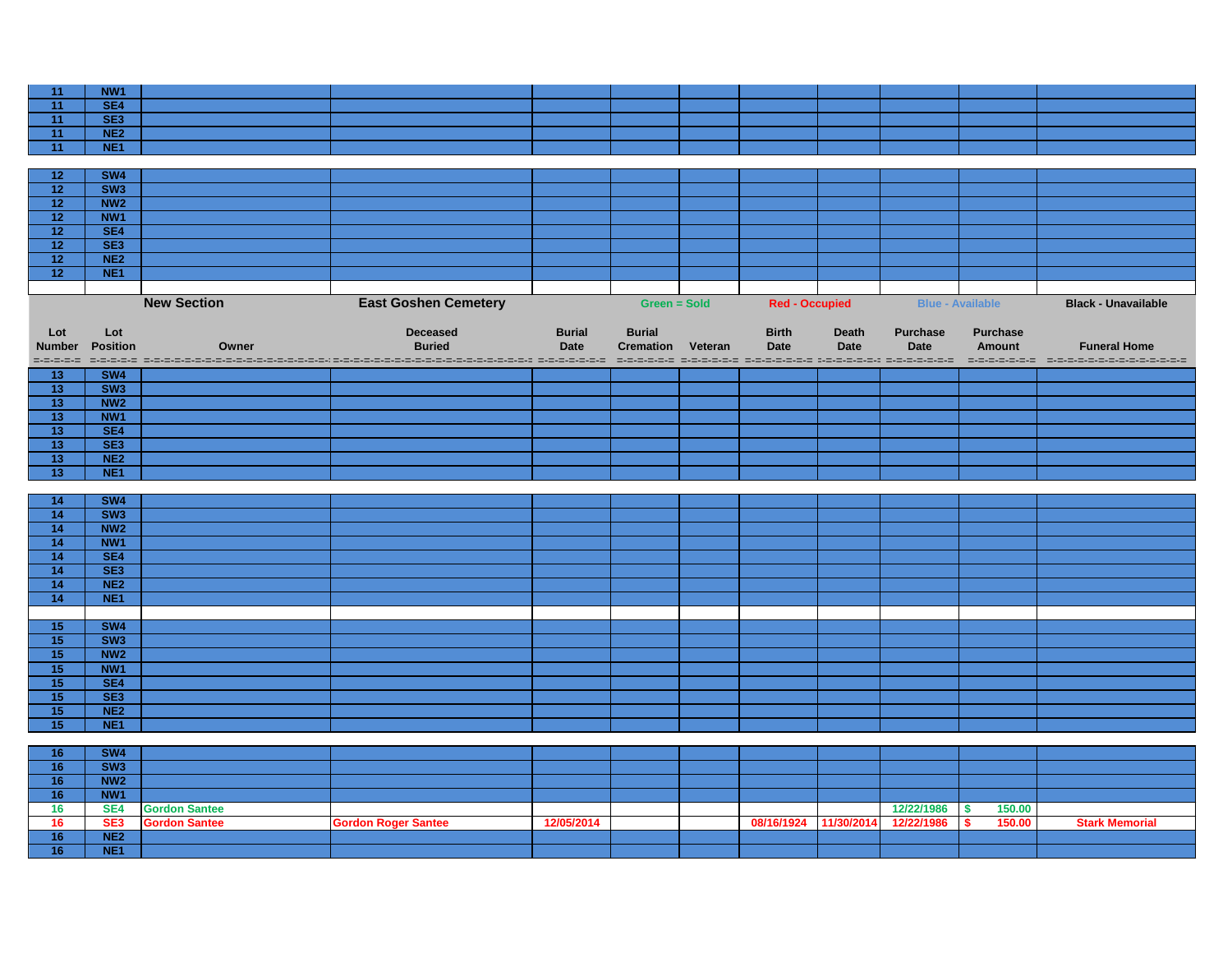| 11              | NW1             |                      |                                                                                                                |               |                          |                       |              |                         |                                     |                            |
|-----------------|-----------------|----------------------|----------------------------------------------------------------------------------------------------------------|---------------|--------------------------|-----------------------|--------------|-------------------------|-------------------------------------|----------------------------|
| 11              | SE4             |                      |                                                                                                                |               |                          |                       |              |                         |                                     |                            |
| 11              | SE3             |                      |                                                                                                                |               |                          |                       |              |                         |                                     |                            |
| 11              | NE2             |                      |                                                                                                                |               |                          |                       |              |                         |                                     |                            |
| 11              | NE <sub>1</sub> |                      |                                                                                                                |               |                          |                       |              |                         |                                     |                            |
|                 |                 |                      |                                                                                                                |               |                          |                       |              |                         |                                     |                            |
| 12              | SW4             |                      |                                                                                                                |               |                          |                       |              |                         |                                     |                            |
| 12              | SW3             |                      |                                                                                                                |               |                          |                       |              |                         |                                     |                            |
| 12              | NW <sub>2</sub> |                      |                                                                                                                |               |                          |                       |              |                         |                                     |                            |
| 12              | NW1             |                      |                                                                                                                |               |                          |                       |              |                         |                                     |                            |
| 12              | SE4             |                      |                                                                                                                |               |                          |                       |              |                         |                                     |                            |
| 12              | SE3             |                      |                                                                                                                |               |                          |                       |              |                         |                                     |                            |
| 12              | NE2             |                      |                                                                                                                |               |                          |                       |              |                         |                                     |                            |
| 12 <sup>7</sup> | NE <sub>1</sub> |                      |                                                                                                                |               |                          |                       |              |                         |                                     |                            |
|                 |                 |                      |                                                                                                                |               |                          |                       |              |                         |                                     |                            |
|                 |                 |                      |                                                                                                                |               |                          |                       |              |                         |                                     |                            |
|                 |                 | <b>New Section</b>   | <b>East Goshen Cemetery</b>                                                                                    |               | <b>Green = Sold</b>      | <b>Red - Occupied</b> |              | <b>Blue - Available</b> |                                     | <b>Black - Unavailable</b> |
|                 |                 |                      |                                                                                                                |               |                          |                       |              |                         |                                     |                            |
| Lot             | Lot             |                      | <b>Deceased</b>                                                                                                | <b>Burial</b> | <b>Burial</b>            | <b>Birth</b>          | <b>Death</b> | <b>Purchase</b>         | <b>Purchase</b>                     |                            |
| <b>Number</b>   | <b>Position</b> | Owner                | <b>Buried</b>                                                                                                  | <b>Date</b>   | <b>Cremation Veteran</b> | <b>Date</b>           | <b>Date</b>  | <b>Date</b>             | <b>Amount</b>                       | <b>Funeral Home</b>        |
|                 |                 |                      | codo deces decedros decessos de construções de construções de construções de construções de construções de con |               |                          |                       |              |                         |                                     |                            |
| 13              | SW <sub>4</sub> |                      |                                                                                                                |               |                          |                       |              |                         |                                     |                            |
| 13              | SW3             |                      |                                                                                                                |               |                          |                       |              |                         |                                     |                            |
| 13              | NW <sub>2</sub> |                      |                                                                                                                |               |                          |                       |              |                         |                                     |                            |
| 13              | NW <sub>1</sub> |                      |                                                                                                                |               |                          |                       |              |                         |                                     |                            |
| 13              | SE4             |                      |                                                                                                                |               |                          |                       |              |                         |                                     |                            |
| 13              | SE3             |                      |                                                                                                                |               |                          |                       |              |                         |                                     |                            |
| 13              | NE <sub>2</sub> |                      |                                                                                                                |               |                          |                       |              |                         |                                     |                            |
| 13              | NE <sub>1</sub> |                      |                                                                                                                |               |                          |                       |              |                         |                                     |                            |
|                 |                 |                      |                                                                                                                |               |                          |                       |              |                         |                                     |                            |
| 14              | <b>SW4</b>      |                      |                                                                                                                |               |                          |                       |              |                         |                                     |                            |
| 14              | SW3             |                      |                                                                                                                |               |                          |                       |              |                         |                                     |                            |
| 14              | NW <sub>2</sub> |                      |                                                                                                                |               |                          |                       |              |                         |                                     |                            |
|                 |                 |                      |                                                                                                                |               |                          |                       |              |                         |                                     |                            |
| 14              | NW <sub>1</sub> |                      |                                                                                                                |               |                          |                       |              |                         |                                     |                            |
| 14              | SE4             |                      |                                                                                                                |               |                          |                       |              |                         |                                     |                            |
| 14              | SE3             |                      |                                                                                                                |               |                          |                       |              |                         |                                     |                            |
| 14              | NE <sub>2</sub> |                      |                                                                                                                |               |                          |                       |              |                         |                                     |                            |
| 14              | NE <sub>1</sub> |                      |                                                                                                                |               |                          |                       |              |                         |                                     |                            |
|                 |                 |                      |                                                                                                                |               |                          |                       |              |                         |                                     |                            |
| 15              | SW4             |                      |                                                                                                                |               |                          |                       |              |                         |                                     |                            |
| 15              | SW3             |                      |                                                                                                                |               |                          |                       |              |                         |                                     |                            |
| 15              | NW2             |                      |                                                                                                                |               |                          |                       |              |                         |                                     |                            |
| 15              | NW <sub>1</sub> |                      |                                                                                                                |               |                          |                       |              |                         |                                     |                            |
| 15              | SE4             |                      |                                                                                                                |               |                          |                       |              |                         |                                     |                            |
| 15              | SE <sub>3</sub> |                      |                                                                                                                |               |                          |                       |              |                         |                                     |                            |
| 15              | NE2             |                      |                                                                                                                |               |                          |                       |              |                         |                                     |                            |
| 15              | NE <sub>1</sub> |                      |                                                                                                                |               |                          |                       |              |                         |                                     |                            |
|                 |                 |                      |                                                                                                                |               |                          |                       |              |                         |                                     |                            |
| 16              | SW4             |                      |                                                                                                                |               |                          |                       |              |                         |                                     |                            |
| 16              | SW3             |                      |                                                                                                                |               |                          |                       |              |                         |                                     |                            |
| 16              | NW <sub>2</sub> |                      |                                                                                                                |               |                          |                       |              |                         |                                     |                            |
| 16              | NW1             |                      |                                                                                                                |               |                          |                       |              |                         |                                     |                            |
| 16              | SE4             | <b>Gordon Santee</b> |                                                                                                                |               |                          |                       |              | 12/22/1986              | 150.00<br>$\boldsymbol{\mathsf{s}}$ |                            |
| 16              | SE <sub>3</sub> | <b>Gordon Santee</b> | <b>Gordon Roger Santee</b>                                                                                     | 12/05/2014    |                          | 08/16/1924            | 11/30/2014   | 12/22/1986              | 150.00<br>S.                        | <b>Stark Memorial</b>      |
| 16              | NE <sub>2</sub> |                      |                                                                                                                |               |                          |                       |              |                         |                                     |                            |
| 16              | NE <sub>1</sub> |                      |                                                                                                                |               |                          |                       |              |                         |                                     |                            |
|                 |                 |                      |                                                                                                                |               |                          |                       |              |                         |                                     |                            |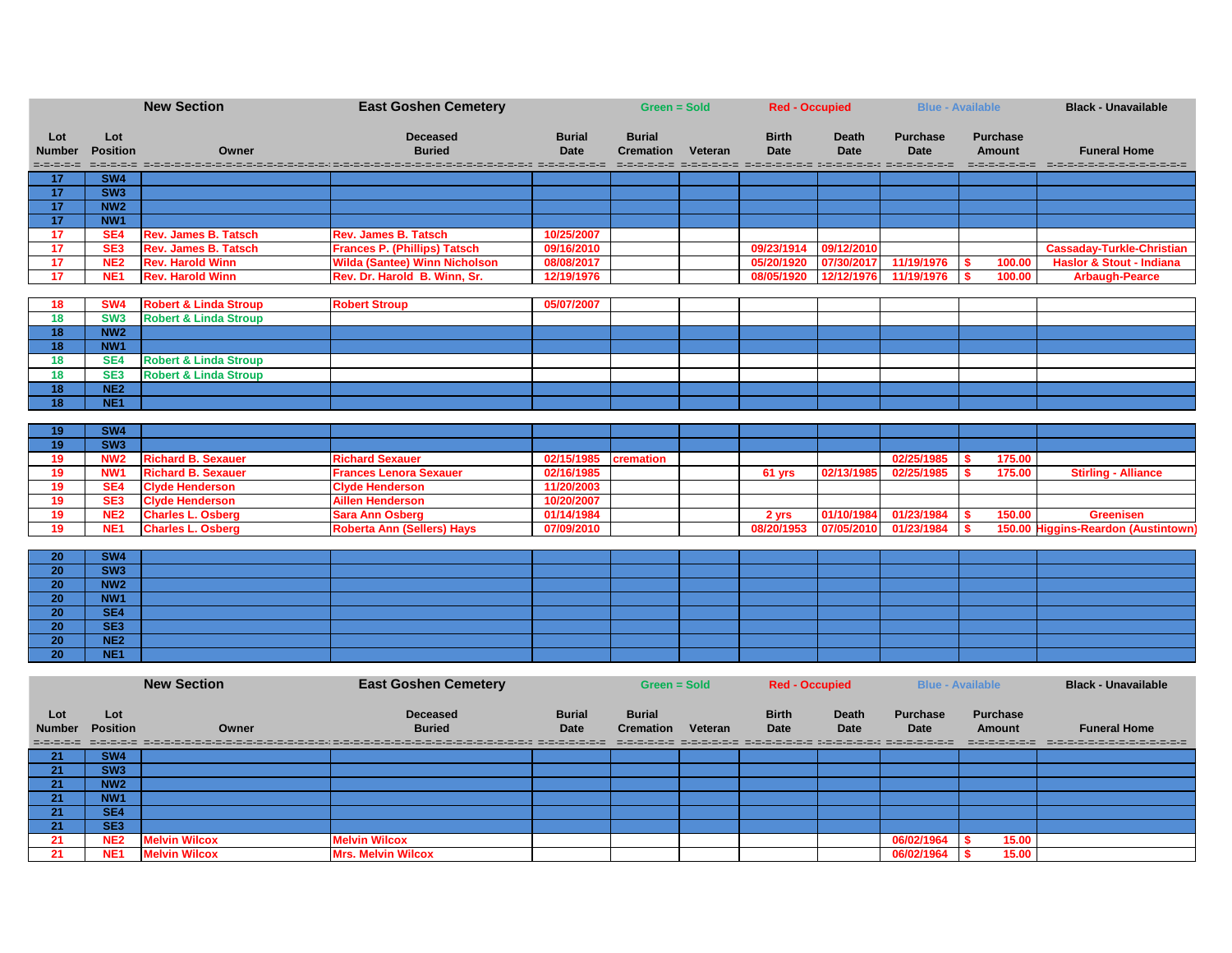|                                   | <b>New Section</b>     |                                  | <b>East Goshen Cemetery</b>                                                                                    |                              | Green = Sold                      |         | <b>Red - Occupied</b>                                                                           |                             |                                | <b>Blue - Available</b>          | <b>Black - Unavailable</b>          |
|-----------------------------------|------------------------|----------------------------------|----------------------------------------------------------------------------------------------------------------|------------------------------|-----------------------------------|---------|-------------------------------------------------------------------------------------------------|-----------------------------|--------------------------------|----------------------------------|-------------------------------------|
| Lot<br><b>Number</b><br>=-=-=-=-= | Lot<br><b>Position</b> | Owner                            | <b>Deceased</b><br><b>Buried</b>                                                                               | <b>Burial</b><br><b>Date</b> | <b>Burial</b><br><b>Cremation</b> | Veteran | <b>Birth</b><br><b>Date</b><br>distribution distribution distribution personalist distribution. | <b>Death</b><br><b>Date</b> | <b>Purchase</b><br><b>Date</b> | <b>Purchase</b><br><b>Amount</b> | <b>Funeral Home</b>                 |
| 17 <sub>2</sub>                   | SW4                    |                                  |                                                                                                                |                              |                                   |         |                                                                                                 |                             |                                |                                  |                                     |
| 17                                | SW3                    |                                  |                                                                                                                |                              |                                   |         |                                                                                                 |                             |                                |                                  |                                     |
| 17                                | NW <sub>2</sub>        |                                  |                                                                                                                |                              |                                   |         |                                                                                                 |                             |                                |                                  |                                     |
| 17                                | NW <sub>1</sub>        |                                  |                                                                                                                |                              |                                   |         |                                                                                                 |                             |                                |                                  |                                     |
| 17                                | SE <sub>4</sub>        | <b>Rev. James B. Tatsch</b>      | <b>Rev. James B. Tatsch</b>                                                                                    | 10/25/2007                   |                                   |         |                                                                                                 |                             |                                |                                  |                                     |
| 17                                | SE <sub>3</sub>        | <b>Rev. James B. Tatsch</b>      | <b>Frances P. (Phillips) Tatsch</b>                                                                            | 09/16/2010                   |                                   |         | 09/23/1914                                                                                      | 09/12/2010                  |                                |                                  | <b>Cassaday-Turkle-Christian</b>    |
| 17                                | NE <sub>2</sub>        | <b>Rev. Harold Winn</b>          | <b>Wilda (Santee) Winn Nicholson</b>                                                                           | 08/08/2017                   |                                   |         | 05/20/1920                                                                                      | 07/30/2017                  | 11/19/1976                     | 100.00                           | <b>Haslor &amp; Stout - Indiana</b> |
| 17                                | NE <sub>1</sub>        | <b>Rev. Harold Winn</b>          | Rev. Dr. Harold B. Winn, Sr.                                                                                   | 12/19/1976                   |                                   |         | 08/05/1920                                                                                      | 12/12/1976                  | 11/19/1976                     | 100.00                           | <b>Arbaugh-Pearce</b>               |
| <b>18</b>                         | SW <sub>4</sub>        | <b>Robert &amp; Linda Stroup</b> | <b>Robert Stroup</b>                                                                                           | 05/07/2007                   |                                   |         |                                                                                                 |                             |                                |                                  |                                     |
| 18                                | SW <sub>3</sub>        | <b>Robert &amp; Linda Stroup</b> |                                                                                                                |                              |                                   |         |                                                                                                 |                             |                                |                                  |                                     |
| 18                                | NW <sub>2</sub>        |                                  |                                                                                                                |                              |                                   |         |                                                                                                 |                             |                                |                                  |                                     |
| 18                                | NW <sub>1</sub>        |                                  |                                                                                                                |                              |                                   |         |                                                                                                 |                             |                                |                                  |                                     |
| 18                                | SE4                    | <b>Robert &amp; Linda Stroup</b> |                                                                                                                |                              |                                   |         |                                                                                                 |                             |                                |                                  |                                     |
| 18                                | SE <sub>3</sub>        | <b>Robert &amp; Linda Stroup</b> |                                                                                                                |                              |                                   |         |                                                                                                 |                             |                                |                                  |                                     |
| 18                                | NE2                    |                                  |                                                                                                                |                              |                                   |         |                                                                                                 |                             |                                |                                  |                                     |
| 18                                | NE <sub>1</sub>        |                                  |                                                                                                                |                              |                                   |         |                                                                                                 |                             |                                |                                  |                                     |
|                                   |                        |                                  |                                                                                                                |                              |                                   |         |                                                                                                 |                             |                                |                                  |                                     |
| 19                                | SW4                    |                                  |                                                                                                                |                              |                                   |         |                                                                                                 |                             |                                |                                  |                                     |
| 19                                | SW3                    |                                  |                                                                                                                |                              |                                   |         |                                                                                                 |                             |                                |                                  |                                     |
| 19                                | NW <sub>2</sub>        | <b>Richard B. Sexauer</b>        | <b>Richard Sexauer</b>                                                                                         | 02/15/1985                   | cremation                         |         |                                                                                                 |                             | 02/25/1985                     | 175.00                           |                                     |
| 19                                | NW <sub>1</sub>        | <b>Richard B. Sexauer</b>        | <b>Frances Lenora Sexauer</b>                                                                                  | 02/16/1985                   |                                   |         | $61$ yrs                                                                                        | 02/13/1985                  | 02/25/1985                     | 175.00                           | <b>Stirling - Alliance</b>          |
| 19                                | SE4                    | <b>Clyde Henderson</b>           | <b>Clyde Henderson</b>                                                                                         | 11/20/2003                   |                                   |         |                                                                                                 |                             |                                |                                  |                                     |
| 19                                | SE <sub>3</sub>        | <b>Clyde Henderson</b>           | <b>Aillen Henderson</b>                                                                                        | 10/20/2007                   |                                   |         |                                                                                                 |                             |                                |                                  |                                     |
| 19                                | NE <sub>2</sub>        | <b>Charles L. Osberg</b>         | <b>Sara Ann Osberg</b>                                                                                         | 01/14/1984                   |                                   |         | 2 yrs                                                                                           | 01/10/1984                  | 01/23/1984                     | 150.00                           | <b>Greenisen</b>                    |
| 19                                | NE <sub>1</sub>        | <b>Charles L. Osberg</b>         | <b>Roberta Ann (Sellers) Hays</b>                                                                              | 07/09/2010                   |                                   |         | 08/20/1953                                                                                      | 07/05/2010                  | 01/23/1984                     |                                  | 150.00 Higgins-Reardon (Austintown) |
|                                   | SW4                    |                                  |                                                                                                                |                              |                                   |         |                                                                                                 |                             |                                |                                  |                                     |
| 20<br>20                          | SW3                    |                                  |                                                                                                                |                              |                                   |         |                                                                                                 |                             |                                |                                  |                                     |
| 20                                | NW <sub>2</sub>        |                                  |                                                                                                                |                              |                                   |         |                                                                                                 |                             |                                |                                  |                                     |
| $\overline{20}$                   | NW <sub>1</sub>        |                                  |                                                                                                                |                              |                                   |         |                                                                                                 |                             |                                |                                  |                                     |
| 20                                | SE4                    |                                  |                                                                                                                |                              |                                   |         |                                                                                                 |                             |                                |                                  |                                     |
| 20                                | SE <sub>3</sub>        |                                  |                                                                                                                |                              |                                   |         |                                                                                                 |                             |                                |                                  |                                     |
| 20                                | NE <sub>2</sub>        |                                  |                                                                                                                |                              |                                   |         |                                                                                                 |                             |                                |                                  |                                     |
| 20                                | NE <sub>1</sub>        |                                  |                                                                                                                |                              |                                   |         |                                                                                                 |                             |                                |                                  |                                     |
|                                   |                        |                                  |                                                                                                                |                              |                                   |         |                                                                                                 |                             |                                |                                  |                                     |
|                                   |                        | <b>New Section</b>               | <b>East Goshen Cemetery</b>                                                                                    |                              | Green = Sold                      |         | <b>Red - Occupied</b>                                                                           |                             |                                | <b>Blue - Available</b>          | <b>Black - Unavailable</b>          |
| Lot                               | Lot                    |                                  | <b>Deceased</b>                                                                                                | <b>Burial</b>                | <b>Burial</b>                     |         | <b>Birth</b>                                                                                    | <b>Death</b>                | <b>Purchase</b>                | <b>Purchase</b>                  |                                     |
| <b>Number</b>                     | <b>Position</b>        | Owner                            | <b>Buried</b>                                                                                                  | Date                         | <b>Cremation Veteran</b>          |         | <b>Date</b>                                                                                     | <b>Date</b>                 | <b>Date</b>                    | <b>Amount</b>                    | <b>Funeral Home</b>                 |
| =-=-=-=-=                         | =-=-=-=-=              |                                  | ich choronomerich choronomeric nordinare di choronomeric nordinare di choronomeric nordinare di choronomeric n |                              |                                   |         | international attachment attended to provincial province and the contract in                    |                             |                                |                                  |                                     |
| 21                                | SW <sub>4</sub>        |                                  |                                                                                                                |                              |                                   |         |                                                                                                 |                             |                                |                                  |                                     |
| 21                                | SW3                    |                                  |                                                                                                                |                              |                                   |         |                                                                                                 |                             |                                |                                  |                                     |
| 21                                | NW <sub>2</sub>        |                                  |                                                                                                                |                              |                                   |         |                                                                                                 |                             |                                |                                  |                                     |
| 21                                | NW1                    |                                  |                                                                                                                |                              |                                   |         |                                                                                                 |                             |                                |                                  |                                     |
| 21                                | SE4                    |                                  |                                                                                                                |                              |                                   |         |                                                                                                 |                             |                                |                                  |                                     |
| 21                                | SE <sub>3</sub>        |                                  |                                                                                                                |                              |                                   |         |                                                                                                 |                             |                                |                                  |                                     |
| 21                                | NE <sub>2</sub>        | <b>Melvin Wilcox</b>             | <b>Melvin Wilcox</b>                                                                                           |                              |                                   |         |                                                                                                 |                             | 06/02/1964                     | 15.00                            |                                     |
| 21                                | NE <sub>1</sub>        | <b>Melvin Wilcox</b>             | <b>Mrs. Melvin Wilcox</b>                                                                                      |                              |                                   |         |                                                                                                 |                             | 06/02/1964                     | 15.00                            |                                     |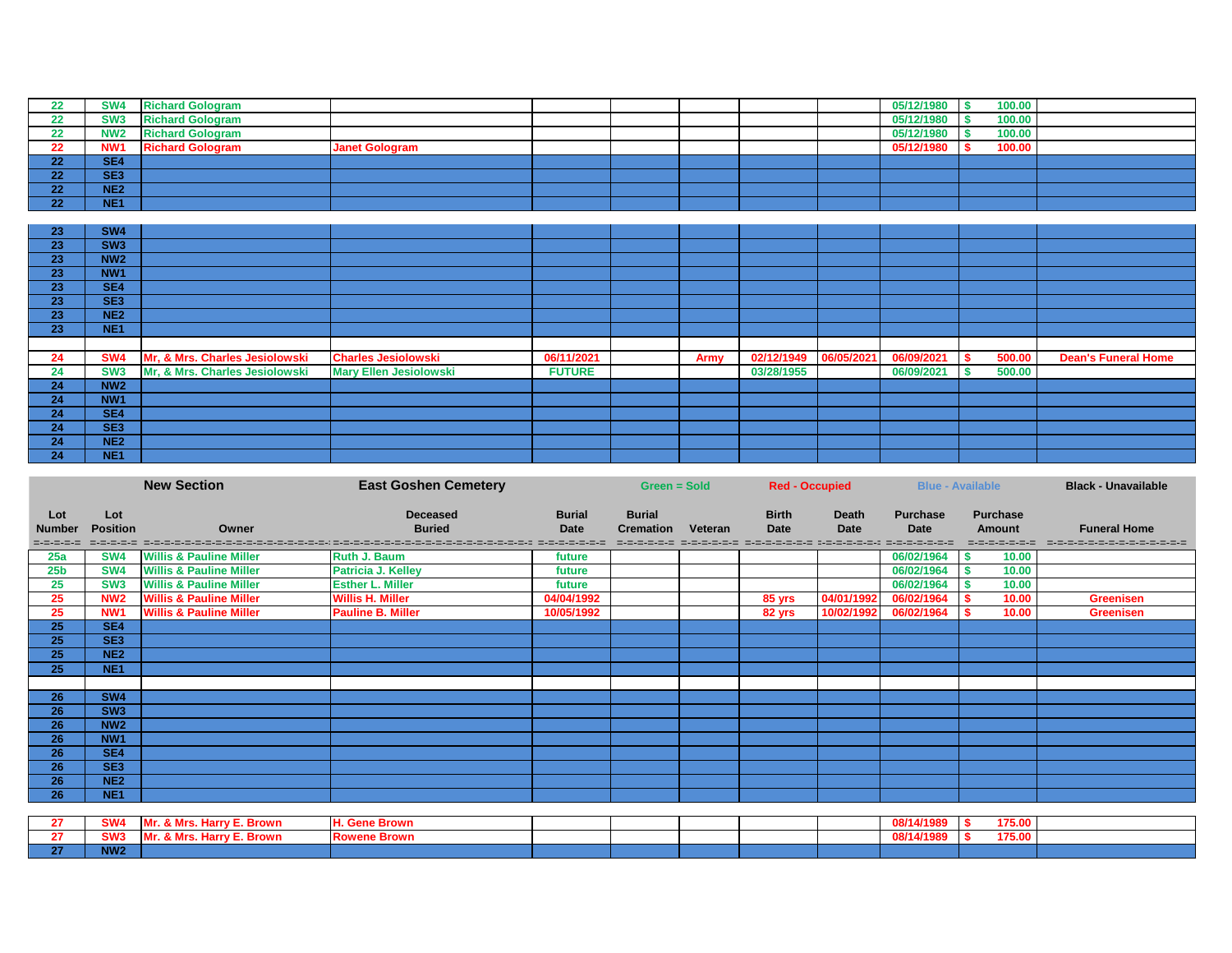|          | SW <sub>4</sub> | <b>Richard Gologram</b> |                       |  |  | 05/12/1980 | 100.00 |  |
|----------|-----------------|-------------------------|-----------------------|--|--|------------|--------|--|
|          | <b>SW3</b>      | <b>Richard Gologram</b> |                       |  |  | 05/12/1980 | 100.00 |  |
| הה       | <b>NW2</b>      | <b>Richard Gologram</b> |                       |  |  | 05/12/1980 | 100.00 |  |
|          | NW <sub>1</sub> | <b>Richard Gologram</b> | <b>Janet Gologram</b> |  |  | 05/12/1980 | 100.00 |  |
| ີ<br>LL  | SE <sub>4</sub> |                         |                       |  |  |            |        |  |
| ີ<br>LL  | SE <sub>3</sub> |                         |                       |  |  |            |        |  |
| ີ<br>--- | NE <sub>2</sub> |                         |                       |  |  |            |        |  |
| ີ        | NE <sub>1</sub> |                         |                       |  |  |            |        |  |

| 23 | <b>SW4</b>      |                                |                               |               |      |            |            |        |                            |
|----|-----------------|--------------------------------|-------------------------------|---------------|------|------------|------------|--------|----------------------------|
| 23 | SW <sub>3</sub> |                                |                               |               |      |            |            |        |                            |
| 23 | <b>NW2</b>      |                                |                               |               |      |            |            |        |                            |
| 23 | NW <sub>1</sub> |                                |                               |               |      |            |            |        |                            |
| 23 | SE4             |                                |                               |               |      |            |            |        |                            |
| 23 | SE <sub>3</sub> |                                |                               |               |      |            |            |        |                            |
| 23 | NE <sub>2</sub> |                                |                               |               |      |            |            |        |                            |
| 23 | NE <sub>1</sub> |                                |                               |               |      |            |            |        |                            |
|    |                 |                                |                               |               |      |            |            |        |                            |
| 24 | <b>SW4</b>      | Mr, & Mrs. Charles Jesiolowski | <b>Charles Jesiolowski</b>    | 06/11/2021    | Army |            | 06/09/2021 | 500.00 | <b>Dean's Funeral Home</b> |
| 24 | SW <sub>3</sub> | Mr, & Mrs. Charles Jesiolowski | <b>Mary Ellen Jesiolowski</b> | <b>FUTURE</b> |      | 03/28/1955 | 06/09/2021 | 500.00 |                            |
| 24 | <b>NW2</b>      |                                |                               |               |      |            |            |        |                            |
| 24 | NW <sub>1</sub> |                                |                               |               |      |            |            |        |                            |
| 24 | SE4             |                                |                               |               |      |            |            |        |                            |
| 24 | SE <sub>3</sub> |                                |                               |               |      |            |            |        |                            |
| 24 | NE <sub>2</sub> |                                |                               |               |      |            |            |        |                            |
| 24 | NE <sub>1</sub> |                                |                               |               |      |            |            |        |                            |

|                                   |                        | <b>New Section</b>                 | <b>East Goshen Cemetery</b>                                                                                                                               |                              | Green = Sold                      |         | <b>Red - Occupied</b>                                                                                     |                             | <b>Blue - Available</b>        |                                                   | <b>Black - Unavailable</b>                             |
|-----------------------------------|------------------------|------------------------------------|-----------------------------------------------------------------------------------------------------------------------------------------------------------|------------------------------|-----------------------------------|---------|-----------------------------------------------------------------------------------------------------------|-----------------------------|--------------------------------|---------------------------------------------------|--------------------------------------------------------|
| Lot<br><b>Number</b><br>=-=-=-=-= | Lot<br><b>Position</b> | Owner                              | <b>Deceased</b><br><b>Buried</b><br>아프니트 - 그리드 - 그리드 - 그리드 - 그리드 - 그리드 - 그리드 - 그리드 - 그리드 - 그리드 - 그리드 - 그리드 - 그리드 - 그리드 - 그리드 - 그리드 - 그리드 - 그리드 - 그리드 - 그리 | <b>Burial</b><br><b>Date</b> | <b>Burial</b><br><b>Cremation</b> | Veteran | <b>Birth</b><br><b>Date</b><br>international attachment at the contract of the contract at the contract o | <b>Death</b><br><b>Date</b> | <b>Purchase</b><br><b>Date</b> | <b>Purchase</b><br><b>Amount</b><br>=-=-=-=-=-=-= | <b>Funeral Home</b><br>2-2-2-2-2-2-2-2-2-2-2-2-2-2-2-2 |
| 25a                               | <b>SW4</b>             | <b>Willis &amp; Pauline Miller</b> | <b>Ruth J. Baum</b>                                                                                                                                       | future                       |                                   |         |                                                                                                           |                             | 06/02/1964                     | 10.00                                             |                                                        |
| 25 <sub>b</sub>                   | <b>SW4</b>             | <b>Willis &amp; Pauline Miller</b> | <b>Patricia J. Kelley</b>                                                                                                                                 | future                       |                                   |         |                                                                                                           |                             | 06/02/1964                     | 10.00                                             |                                                        |
| 25                                | SW <sub>3</sub>        | <b>Willis &amp; Pauline Miller</b> | <b>Esther L. Miller</b>                                                                                                                                   | future                       |                                   |         |                                                                                                           |                             | 06/02/1964                     | 10.00                                             |                                                        |
| 25                                | NW <sub>2</sub>        | <b>Willis &amp; Pauline Miller</b> | <b>Willis H. Miller</b>                                                                                                                                   | 04/04/1992                   |                                   |         | 85 yrs                                                                                                    | 04/01/1992                  | 06/02/1964                     | 10.00                                             | <b>Greenisen</b>                                       |
| 25                                | NW <sub>1</sub>        | <b>Willis &amp; Pauline Miller</b> | <b>Pauline B. Miller</b>                                                                                                                                  | 10/05/1992                   |                                   |         | 82 yrs                                                                                                    | 10/02/1992                  | 06/02/1964                     | 10.00                                             | <b>Greenisen</b>                                       |
| 25                                | SE4                    |                                    |                                                                                                                                                           |                              |                                   |         |                                                                                                           |                             |                                |                                                   |                                                        |
| 25                                | SE3                    |                                    |                                                                                                                                                           |                              |                                   |         |                                                                                                           |                             |                                |                                                   |                                                        |
| $\overline{25}$                   | NE <sub>2</sub>        |                                    |                                                                                                                                                           |                              |                                   |         |                                                                                                           |                             |                                |                                                   |                                                        |
| 25                                | NE <sub>1</sub>        |                                    |                                                                                                                                                           |                              |                                   |         |                                                                                                           |                             |                                |                                                   |                                                        |
|                                   |                        |                                    |                                                                                                                                                           |                              |                                   |         |                                                                                                           |                             |                                |                                                   |                                                        |
| 26                                | <b>SW4</b>             |                                    |                                                                                                                                                           |                              |                                   |         |                                                                                                           |                             |                                |                                                   |                                                        |
| 26                                | SW3                    |                                    |                                                                                                                                                           |                              |                                   |         |                                                                                                           |                             |                                |                                                   |                                                        |
| 26                                | <b>NW2</b>             |                                    |                                                                                                                                                           |                              |                                   |         |                                                                                                           |                             |                                |                                                   |                                                        |
| 26                                | NW <sub>1</sub>        |                                    |                                                                                                                                                           |                              |                                   |         |                                                                                                           |                             |                                |                                                   |                                                        |
| 26                                | SE4                    |                                    |                                                                                                                                                           |                              |                                   |         |                                                                                                           |                             |                                |                                                   |                                                        |
| $\overline{26}$                   | SE3                    |                                    |                                                                                                                                                           |                              |                                   |         |                                                                                                           |                             |                                |                                                   |                                                        |
| 26                                | NE <sub>2</sub>        |                                    |                                                                                                                                                           |                              |                                   |         |                                                                                                           |                             |                                |                                                   |                                                        |
| 26                                | NE <sub>1</sub>        |                                    |                                                                                                                                                           |                              |                                   |         |                                                                                                           |                             |                                |                                                   |                                                        |
|                                   |                        |                                    |                                                                                                                                                           |                              |                                   |         |                                                                                                           |                             |                                |                                                   |                                                        |
| 27                                | SW4                    | Mr. & Mrs. Harry E. Brown          | <b>H. Gene Brown</b>                                                                                                                                      |                              |                                   |         |                                                                                                           |                             | 08/14/1989                     | 175.00                                            |                                                        |
| 27                                | SW <sub>3</sub>        | Mr. & Mrs. Harry E. Brown          | <b>Rowene Brown</b>                                                                                                                                       |                              |                                   |         |                                                                                                           |                             | 08/14/1989                     | 175.00                                            |                                                        |
| $\overline{27}$                   | <b>NW2</b>             |                                    |                                                                                                                                                           |                              |                                   |         |                                                                                                           |                             |                                |                                                   |                                                        |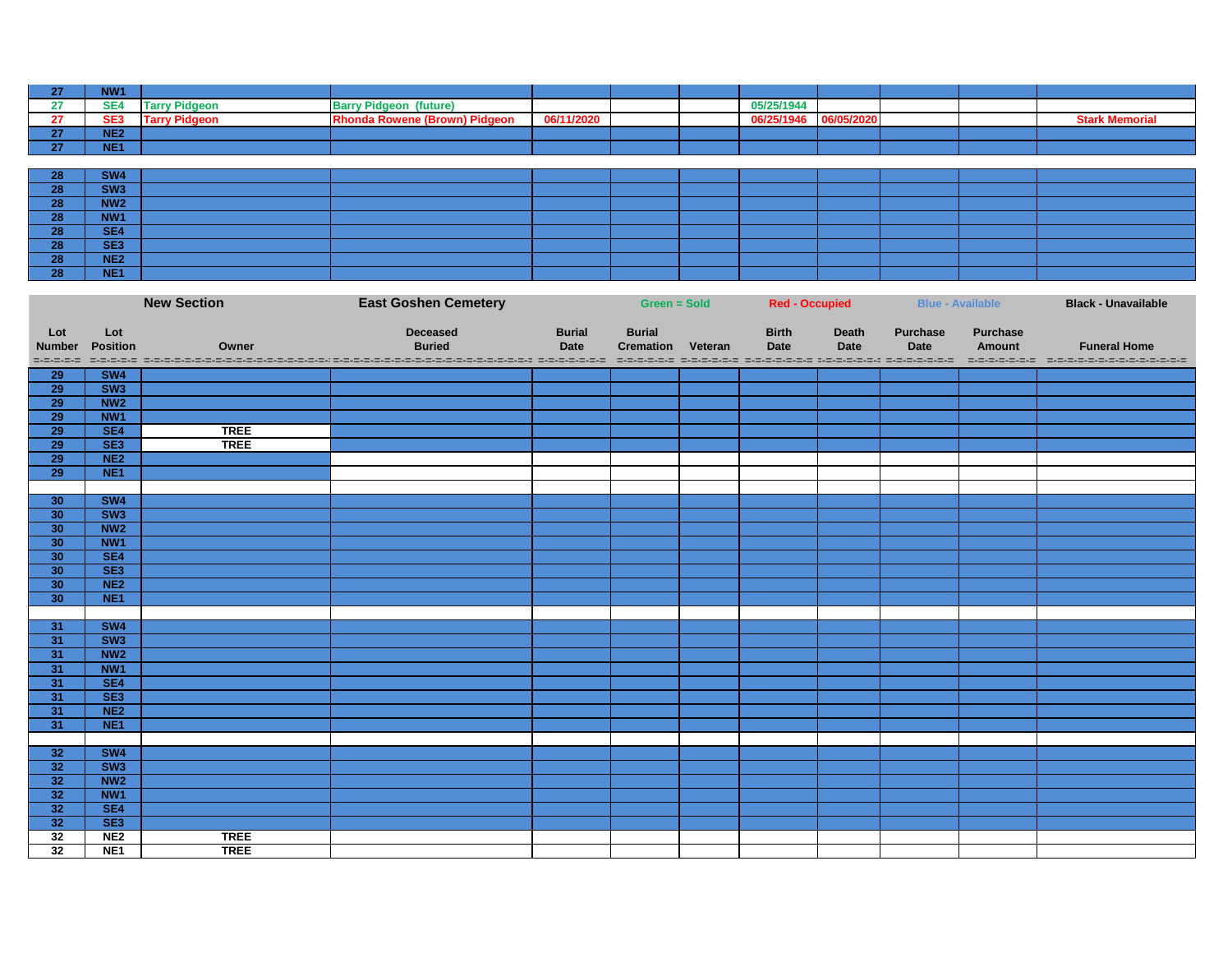| NW <sub>1</sub>   |                      |                                  |            |  |            |            |  |                       |
|-------------------|----------------------|----------------------------------|------------|--|------------|------------|--|-----------------------|
| SE <sub>4</sub>   | <b>Tarry Pidgeon</b> | <b>Barry Pidgeon</b><br>(future) |            |  | 05/25/1944 |            |  |                       |
| SE <sub>3</sub>   | <b>Tarry Pidgeon</b> | honda Rowene (Brown) Pidgeon     | 06/11/2020 |  | 06/25/1946 | 06/05/2020 |  | <b>Stark Memoria.</b> |
| <b>NE2</b><br>--- |                      |                                  |            |  |            |            |  |                       |
| <b>NE1</b>        |                      |                                  |            |  |            |            |  |                       |

| റെ<br>70               | <b>SW4</b>      |  |  |  |  |  |
|------------------------|-----------------|--|--|--|--|--|
| no.<br>ZO <sub>7</sub> | SW <sub>3</sub> |  |  |  |  |  |
| າດ<br>ZO               | NW <sub>2</sub> |  |  |  |  |  |
| no.<br>ZO              | NW1             |  |  |  |  |  |
| no.<br><b>ZO</b>       | SE4             |  |  |  |  |  |
| no.<br>ZO              | SE <sub>3</sub> |  |  |  |  |  |
| no.<br><b>ZO</b>       | NE <sub>2</sub> |  |  |  |  |  |
| no.                    | NE <sub>1</sub> |  |  |  |  |  |

|                                   |                         | <b>New Section</b> | <b>East Goshen Cemetery</b>                                                                                                                        |                              | Green = Sold                      |         | <b>Red - Occupied</b>       |                             |                                | <b>Blue - Available</b>   | <b>Black - Unavailable</b> |
|-----------------------------------|-------------------------|--------------------|----------------------------------------------------------------------------------------------------------------------------------------------------|------------------------------|-----------------------------------|---------|-----------------------------|-----------------------------|--------------------------------|---------------------------|----------------------------|
| Lot<br><b>Number</b><br>=-=-=-=-= | Lot<br><b>Position</b>  | Owner              | <b>Deceased</b><br><b>Buried</b><br>podos decordos de concerdo de podo se provincia de concerdo de concerdo de concerdo de concerdo de concerdo de | <b>Burial</b><br><b>Date</b> | <b>Burial</b><br><b>Cremation</b> | Veteran | <b>Birth</b><br><b>Date</b> | <b>Death</b><br><b>Date</b> | <b>Purchase</b><br><b>Date</b> | <b>Purchase</b><br>Amount | <b>Funeral Home</b>        |
| <b>29</b>                         | SW4                     |                    |                                                                                                                                                    |                              |                                   |         |                             |                             |                                |                           |                            |
| 29                                | $\overline{\text{SW3}}$ |                    |                                                                                                                                                    |                              |                                   |         |                             |                             |                                |                           |                            |
| <b>29</b>                         | NW <sub>2</sub>         |                    |                                                                                                                                                    |                              |                                   |         |                             |                             |                                |                           |                            |
| $\overline{29}$                   | NW <sub>1</sub>         |                    |                                                                                                                                                    |                              |                                   |         |                             |                             |                                |                           |                            |
| 29                                | SE4                     | <b>TREE</b>        |                                                                                                                                                    |                              |                                   |         |                             |                             |                                |                           |                            |
| $\overline{29}$                   | SE3                     | <b>TREE</b>        |                                                                                                                                                    |                              |                                   |         |                             |                             |                                |                           |                            |
| 29                                | NE <sub>2</sub>         |                    |                                                                                                                                                    |                              |                                   |         |                             |                             |                                |                           |                            |
| 29                                | NE <sub>1</sub>         |                    |                                                                                                                                                    |                              |                                   |         |                             |                             |                                |                           |                            |
|                                   |                         |                    |                                                                                                                                                    |                              |                                   |         |                             |                             |                                |                           |                            |
| 30                                | SW4                     |                    |                                                                                                                                                    |                              |                                   |         |                             |                             |                                |                           |                            |
| 30                                | $\overline{\text{SW3}}$ |                    |                                                                                                                                                    |                              |                                   |         |                             |                             |                                |                           |                            |
| 30                                | NW <sub>2</sub>         |                    |                                                                                                                                                    |                              |                                   |         |                             |                             |                                |                           |                            |
| 30                                | NW <sub>1</sub>         |                    |                                                                                                                                                    |                              |                                   |         |                             |                             |                                |                           |                            |
| 30                                | SE4                     |                    |                                                                                                                                                    |                              |                                   |         |                             |                             |                                |                           |                            |
| 30                                | SE3                     |                    |                                                                                                                                                    |                              |                                   |         |                             |                             |                                |                           |                            |
| 30                                | NE <sub>2</sub>         |                    |                                                                                                                                                    |                              |                                   |         |                             |                             |                                |                           |                            |
| 30                                | NE <sub>1</sub>         |                    |                                                                                                                                                    |                              |                                   |         |                             |                             |                                |                           |                            |
|                                   |                         |                    |                                                                                                                                                    |                              |                                   |         |                             |                             |                                |                           |                            |
| 31                                | SW4                     |                    |                                                                                                                                                    |                              |                                   |         |                             |                             |                                |                           |                            |
| 31                                | $\overline{\text{SW3}}$ |                    |                                                                                                                                                    |                              |                                   |         |                             |                             |                                |                           |                            |
| 31                                | NW <sub>2</sub>         |                    |                                                                                                                                                    |                              |                                   |         |                             |                             |                                |                           |                            |
| 31                                | NW <sub>1</sub>         |                    |                                                                                                                                                    |                              |                                   |         |                             |                             |                                |                           |                            |
| 31                                | SE4                     |                    |                                                                                                                                                    |                              |                                   |         |                             |                             |                                |                           |                            |
| 31                                | SE3                     |                    |                                                                                                                                                    |                              |                                   |         |                             |                             |                                |                           |                            |
| 31                                | NE <sub>2</sub>         |                    |                                                                                                                                                    |                              |                                   |         |                             |                             |                                |                           |                            |
| 31                                | NE <sub>1</sub>         |                    |                                                                                                                                                    |                              |                                   |         |                             |                             |                                |                           |                            |
|                                   |                         |                    |                                                                                                                                                    |                              |                                   |         |                             |                             |                                |                           |                            |
| 32                                | SW4                     |                    |                                                                                                                                                    |                              |                                   |         |                             |                             |                                |                           |                            |
| 32                                | SW3                     |                    |                                                                                                                                                    |                              |                                   |         |                             |                             |                                |                           |                            |
| 32                                | NW <sub>2</sub>         |                    |                                                                                                                                                    |                              |                                   |         |                             |                             |                                |                           |                            |
| $\overline{32}$                   | NW <sub>1</sub>         |                    |                                                                                                                                                    |                              |                                   |         |                             |                             |                                |                           |                            |
| 32                                | SE4                     |                    |                                                                                                                                                    |                              |                                   |         |                             |                             |                                |                           |                            |
| 32                                | SE3                     |                    |                                                                                                                                                    |                              |                                   |         |                             |                             |                                |                           |                            |
| 32                                | NE2                     | <b>TREE</b>        |                                                                                                                                                    |                              |                                   |         |                             |                             |                                |                           |                            |
| $\overline{32}$                   | NE <sub>1</sub>         | <b>TREE</b>        |                                                                                                                                                    |                              |                                   |         |                             |                             |                                |                           |                            |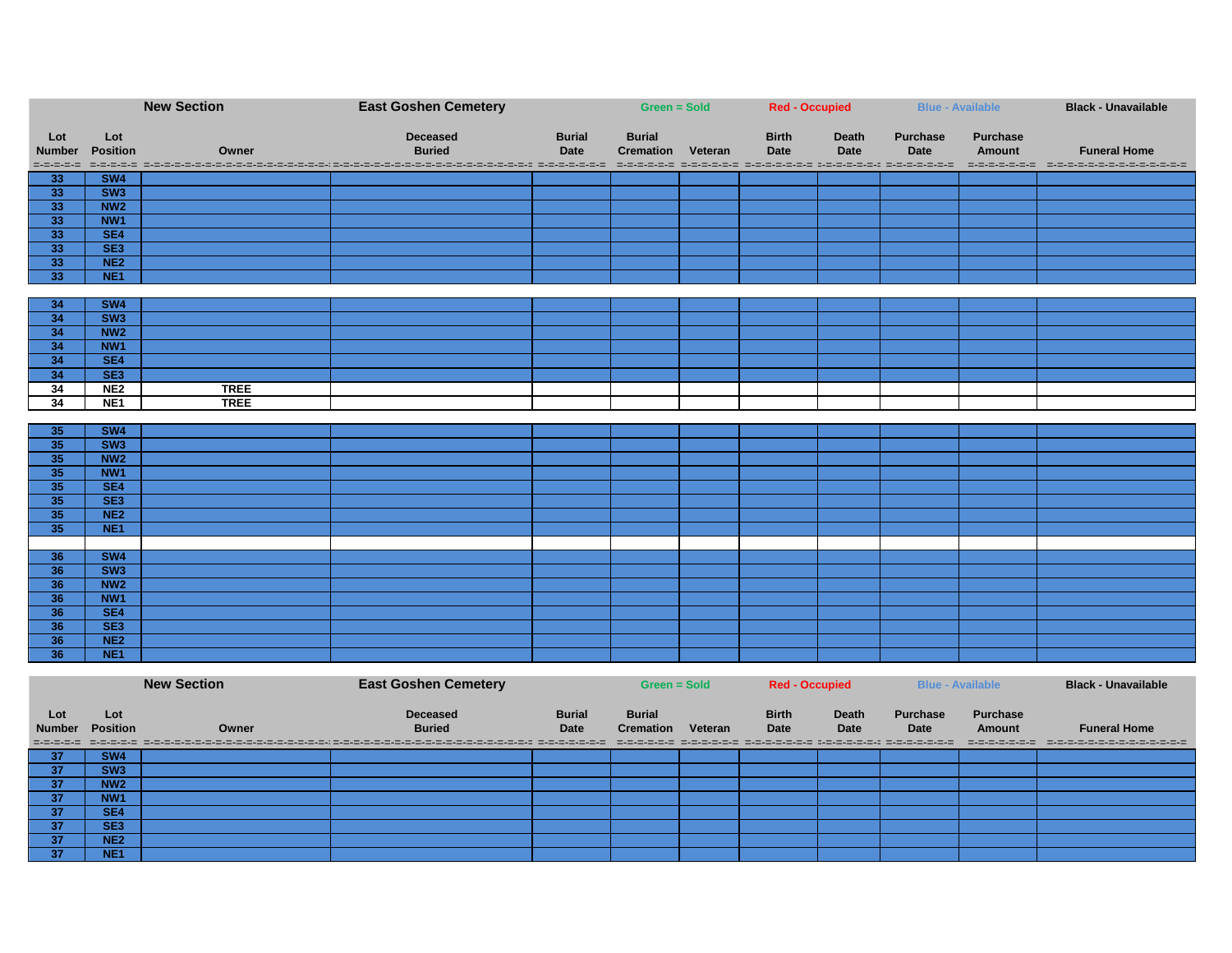|                      | <b>New Section</b>                 |                    | <b>East Goshen Cemetery</b>                                                                                      |                              | <b>Green = Sold</b>               |         | <b>Red - Occupied</b>                                              |                             |                                | <b>Blue - Available</b>          | <b>Black - Unavailable</b> |
|----------------------|------------------------------------|--------------------|------------------------------------------------------------------------------------------------------------------|------------------------------|-----------------------------------|---------|--------------------------------------------------------------------|-----------------------------|--------------------------------|----------------------------------|----------------------------|
|                      |                                    |                    |                                                                                                                  |                              |                                   |         |                                                                    |                             |                                |                                  |                            |
| Lot<br><b>Number</b> | Lot<br><b>Position</b>             | Owner              | <b>Deceased</b><br><b>Buried</b>                                                                                 | <b>Burial</b><br><b>Date</b> | <b>Burial</b><br><b>Cremation</b> | Veteran | <b>Birth</b><br><b>Date</b>                                        | <b>Death</b><br><b>Date</b> | <b>Purchase</b><br><b>Date</b> | <b>Purchase</b><br><b>Amount</b> | <b>Funeral Home</b>        |
|                      |                                    |                    | sessa secon cooperatoricade processoricade processori decesso secondidade processo concessori secondo concessori |                              |                                   |         |                                                                    |                             |                                |                                  |                            |
| 33                   | SW4                                |                    |                                                                                                                  |                              |                                   |         |                                                                    |                             |                                |                                  |                            |
| 33                   | SW <sub>3</sub>                    |                    |                                                                                                                  |                              |                                   |         |                                                                    |                             |                                |                                  |                            |
| 33                   | NW <sub>2</sub>                    |                    |                                                                                                                  |                              |                                   |         |                                                                    |                             |                                |                                  |                            |
| 33                   | NW <sub>1</sub>                    |                    |                                                                                                                  |                              |                                   |         |                                                                    |                             |                                |                                  |                            |
| 33                   | SE4                                |                    |                                                                                                                  |                              |                                   |         |                                                                    |                             |                                |                                  |                            |
| 33                   | SE3                                |                    |                                                                                                                  |                              |                                   |         |                                                                    |                             |                                |                                  |                            |
| 33                   | NE2                                |                    |                                                                                                                  |                              |                                   |         |                                                                    |                             |                                |                                  |                            |
| 33                   | NE <sub>1</sub>                    |                    |                                                                                                                  |                              |                                   |         |                                                                    |                             |                                |                                  |                            |
|                      |                                    |                    |                                                                                                                  |                              |                                   |         |                                                                    |                             |                                |                                  |                            |
| 34                   | SW4                                |                    |                                                                                                                  |                              |                                   |         |                                                                    |                             |                                |                                  |                            |
| 34                   | SW3                                |                    |                                                                                                                  |                              |                                   |         |                                                                    |                             |                                |                                  |                            |
| 34                   | NW2                                |                    |                                                                                                                  |                              |                                   |         |                                                                    |                             |                                |                                  |                            |
| 34                   | NW <sub>1</sub>                    |                    |                                                                                                                  |                              |                                   |         |                                                                    |                             |                                |                                  |                            |
| 34                   | SE4                                |                    |                                                                                                                  |                              |                                   |         |                                                                    |                             |                                |                                  |                            |
| 34                   | SE <sub>3</sub><br>NE <sub>2</sub> | <b>TREE</b>        |                                                                                                                  |                              |                                   |         |                                                                    |                             |                                |                                  |                            |
| 34<br>34             | NE <sub>1</sub>                    | <b>TREE</b>        |                                                                                                                  |                              |                                   |         |                                                                    |                             |                                |                                  |                            |
|                      |                                    |                    |                                                                                                                  |                              |                                   |         |                                                                    |                             |                                |                                  |                            |
| 35                   | SW4                                |                    |                                                                                                                  |                              |                                   |         |                                                                    |                             |                                |                                  |                            |
| 35                   | SW3                                |                    |                                                                                                                  |                              |                                   |         |                                                                    |                             |                                |                                  |                            |
| 35                   | NW <sub>2</sub>                    |                    |                                                                                                                  |                              |                                   |         |                                                                    |                             |                                |                                  |                            |
| 35                   | NW1                                |                    |                                                                                                                  |                              |                                   |         |                                                                    |                             |                                |                                  |                            |
| 35                   | SE4                                |                    |                                                                                                                  |                              |                                   |         |                                                                    |                             |                                |                                  |                            |
| 35                   | SE3                                |                    |                                                                                                                  |                              |                                   |         |                                                                    |                             |                                |                                  |                            |
| 35                   | NE2                                |                    |                                                                                                                  |                              |                                   |         |                                                                    |                             |                                |                                  |                            |
| 35                   | NE <sub>1</sub>                    |                    |                                                                                                                  |                              |                                   |         |                                                                    |                             |                                |                                  |                            |
|                      |                                    |                    |                                                                                                                  |                              |                                   |         |                                                                    |                             |                                |                                  |                            |
| 36                   | SW4                                |                    |                                                                                                                  |                              |                                   |         |                                                                    |                             |                                |                                  |                            |
| 36                   | SW3                                |                    |                                                                                                                  |                              |                                   |         |                                                                    |                             |                                |                                  |                            |
| 36                   | NW <sub>2</sub>                    |                    |                                                                                                                  |                              |                                   |         |                                                                    |                             |                                |                                  |                            |
| 36                   | NW <sub>1</sub>                    |                    |                                                                                                                  |                              |                                   |         |                                                                    |                             |                                |                                  |                            |
| 36                   | SE4                                |                    |                                                                                                                  |                              |                                   |         |                                                                    |                             |                                |                                  |                            |
| 36                   | SE3                                |                    |                                                                                                                  |                              |                                   |         |                                                                    |                             |                                |                                  |                            |
| 36                   | NE2                                |                    |                                                                                                                  |                              |                                   |         |                                                                    |                             |                                |                                  |                            |
| 36                   | NE <sub>1</sub>                    |                    |                                                                                                                  |                              |                                   |         |                                                                    |                             |                                |                                  |                            |
|                      |                                    |                    |                                                                                                                  |                              |                                   |         |                                                                    |                             |                                |                                  |                            |
|                      |                                    | <b>New Section</b> | <b>East Goshen Cemetery</b>                                                                                      |                              | Green = Sold                      |         | <b>Red - Occupied</b>                                              |                             |                                | <b>Blue - Available</b>          | <b>Black - Unavailable</b> |
| Lot                  | Lot                                |                    | <b>Deceased</b>                                                                                                  | <b>Burial</b>                | <b>Burial</b>                     |         | <b>Birth</b>                                                       | <b>Death</b>                | <b>Purchase</b>                | <b>Purchase</b>                  |                            |
| <b>Number</b>        | <b>Position</b>                    | Owner              | <b>Buried</b>                                                                                                    | <b>Date</b>                  | <b>Cremation Veteran</b>          |         | <b>Date</b>                                                        | <b>Date</b>                 | <b>Date</b>                    | <b>Amount</b>                    | <b>Funeral Home</b>        |
| =-=-=-=-=            | =-=-=-=-=                          |                    |                                                                                                                  |                              |                                   |         | chororororo cromininaroro chororororo diciementina chororororororo |                             |                                |                                  |                            |
| 37                   | SW4                                |                    |                                                                                                                  |                              |                                   |         |                                                                    |                             |                                |                                  |                            |
| 37                   | SW3                                |                    |                                                                                                                  |                              |                                   |         |                                                                    |                             |                                |                                  |                            |
| 37                   | NW <sub>2</sub>                    |                    |                                                                                                                  |                              |                                   |         |                                                                    |                             |                                |                                  |                            |
| 37                   | NW1                                |                    |                                                                                                                  |                              |                                   |         |                                                                    |                             |                                |                                  |                            |
| 37                   | SE4                                |                    |                                                                                                                  |                              |                                   |         |                                                                    |                             |                                |                                  |                            |

 **SE3 NE2 NE1**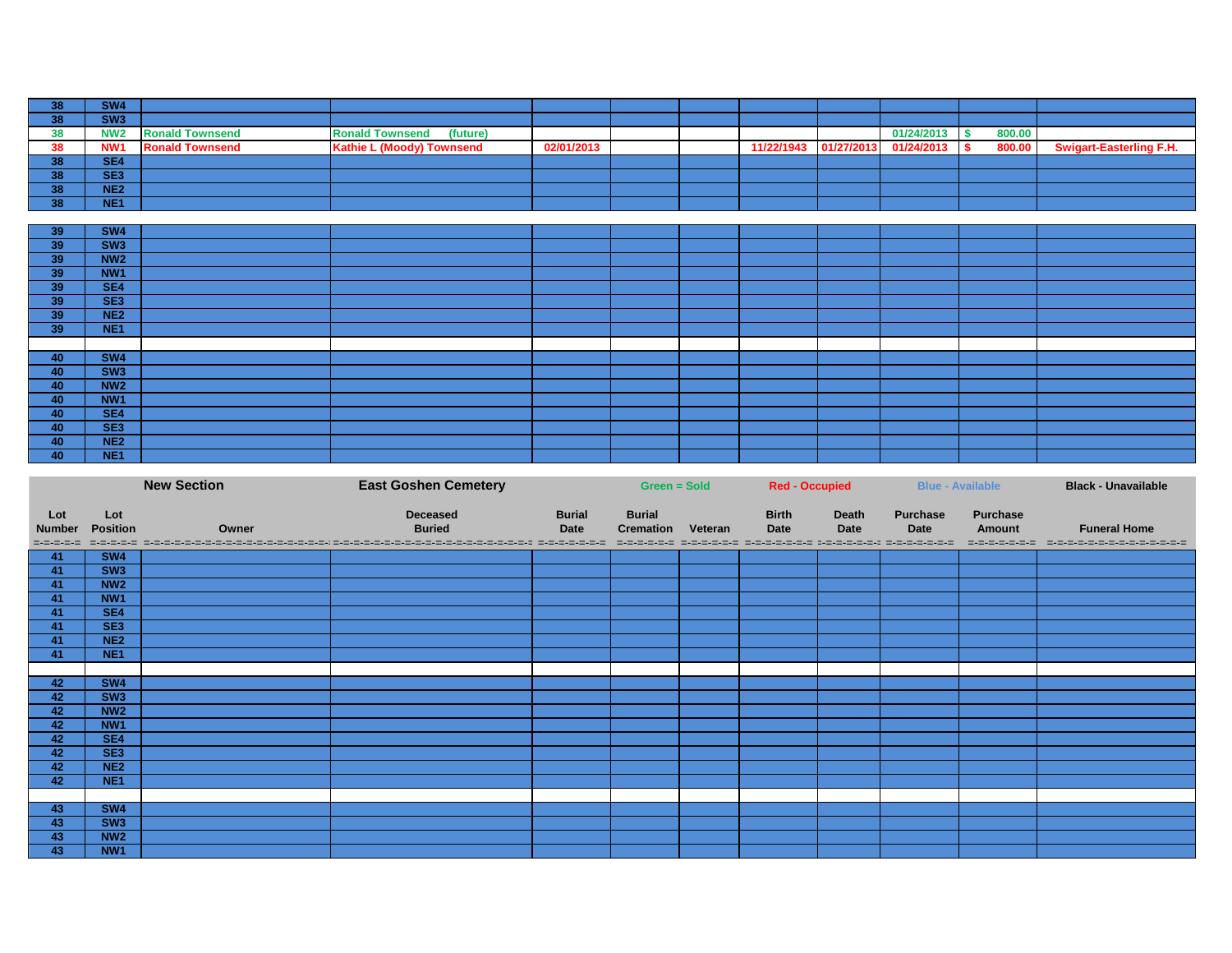|           | SW <sub>4</sub> |                        |                                    |            |  |                       |            |        |                                |
|-----------|-----------------|------------------------|------------------------------------|------------|--|-----------------------|------------|--------|--------------------------------|
| ၁၀        | SW <sub>3</sub> |                        |                                    |            |  |                       |            |        |                                |
| 38        | NW <sub>2</sub> | <b>Ronald Townsend</b> | <b>Ronald Townsend</b><br>(future) |            |  |                       | 01/24/2013 | 800.00 |                                |
| 38        | NW <sub>1</sub> | <b>Ronald Townsend</b> | <b>Kathie L (Moody) Townsend</b>   | 02/01/2013 |  | 11/22/1943 01/27/2013 | 01/24/2013 | 800.00 | <b>Swigart-Easterling F.H.</b> |
| 90.<br>၁၀ | SE <sub>4</sub> |                        |                                    |            |  |                       |            |        |                                |
| 90.<br>ುಂ | SE <sub>3</sub> |                        |                                    |            |  |                       |            |        |                                |
| . .       | NE <sub>2</sub> |                        |                                    |            |  |                       |            |        |                                |
| . .       | NE <sub>1</sub> |                        |                                    |            |  |                       |            |        |                                |

| 39 | SW4             |  |  |  |  |  |
|----|-----------------|--|--|--|--|--|
| 39 | SW <sub>3</sub> |  |  |  |  |  |
| 39 | <b>NW2</b>      |  |  |  |  |  |
| 39 | NW1             |  |  |  |  |  |
| 39 | SE4             |  |  |  |  |  |
| 39 | SE <sub>3</sub> |  |  |  |  |  |
| 39 | NE <sub>2</sub> |  |  |  |  |  |
| 39 | NE <sub>1</sub> |  |  |  |  |  |
|    |                 |  |  |  |  |  |
| 40 | <b>SW4</b>      |  |  |  |  |  |
| 40 | SW <sub>3</sub> |  |  |  |  |  |
| 40 | <b>NW2</b>      |  |  |  |  |  |
| 40 | NW <sub>1</sub> |  |  |  |  |  |
| 40 | SE4             |  |  |  |  |  |
| 40 | SE <sub>3</sub> |  |  |  |  |  |
| 40 | NE <sub>2</sub> |  |  |  |  |  |
| 40 | NE <sub>1</sub> |  |  |  |  |  |

|                                   | <b>New Section</b>     |       | <b>East Goshen Cemetery</b>                                                                                                                        |                       | <b>Green = Sold</b>                       |  | <b>Red - Occupied</b>       |                      | <b>Blue - Available</b>                                                                                |                                                   | <b>Black - Unavailable</b>                           |
|-----------------------------------|------------------------|-------|----------------------------------------------------------------------------------------------------------------------------------------------------|-----------------------|-------------------------------------------|--|-----------------------------|----------------------|--------------------------------------------------------------------------------------------------------|---------------------------------------------------|------------------------------------------------------|
| Lot<br><b>Number</b><br>=-=-=-=-= | Lot<br><b>Position</b> | Owner | <b>Deceased</b><br><b>Buried</b><br>ist statistics in de statistics in de statistics in de statistics in de statistics statistics in de statistics | <b>Burial</b><br>Date | <b>Burial</b><br><b>Cremation Veteran</b> |  | <b>Birth</b><br><b>Date</b> | Death<br><b>Date</b> | <b>Purchase</b><br><b>Date</b><br>international attorneys are constanted between protects attractively | <b>Purchase</b><br><b>Amount</b><br>=-=-=-=-=-=-= | <b>Funeral Home</b><br>- ニャニ・ニ・ニ・ニ・ニ・ニ・ニ・ニ・ニ・ニ・ニ・ニ・ニ |
| $-41$                             | SW4                    |       |                                                                                                                                                    |                       |                                           |  |                             |                      |                                                                                                        |                                                   |                                                      |
| 41                                | SW3                    |       |                                                                                                                                                    |                       |                                           |  |                             |                      |                                                                                                        |                                                   |                                                      |
| 41                                | NW <sub>2</sub>        |       |                                                                                                                                                    |                       |                                           |  |                             |                      |                                                                                                        |                                                   |                                                      |
| 41                                | NW <sub>1</sub>        |       |                                                                                                                                                    |                       |                                           |  |                             |                      |                                                                                                        |                                                   |                                                      |
| 41                                | SE4                    |       |                                                                                                                                                    |                       |                                           |  |                             |                      |                                                                                                        |                                                   |                                                      |
| 41                                | SE <sub>3</sub>        |       |                                                                                                                                                    |                       |                                           |  |                             |                      |                                                                                                        |                                                   |                                                      |
| 41                                | NE2                    |       |                                                                                                                                                    |                       |                                           |  |                             |                      |                                                                                                        |                                                   |                                                      |
| 41                                | NE <sub>1</sub>        |       |                                                                                                                                                    |                       |                                           |  |                             |                      |                                                                                                        |                                                   |                                                      |
|                                   |                        |       |                                                                                                                                                    |                       |                                           |  |                             |                      |                                                                                                        |                                                   |                                                      |
| 42                                | <b>SW4</b>             |       |                                                                                                                                                    |                       |                                           |  |                             |                      |                                                                                                        |                                                   |                                                      |
| 42                                | SW <sub>3</sub>        |       |                                                                                                                                                    |                       |                                           |  |                             |                      |                                                                                                        |                                                   |                                                      |
| 42                                | NW <sub>2</sub>        |       |                                                                                                                                                    |                       |                                           |  |                             |                      |                                                                                                        |                                                   |                                                      |
| 42                                | NW1                    |       |                                                                                                                                                    |                       |                                           |  |                             |                      |                                                                                                        |                                                   |                                                      |
| 42<br>42                          | SE4<br>SE <sub>3</sub> |       |                                                                                                                                                    |                       |                                           |  |                             |                      |                                                                                                        |                                                   |                                                      |
| 42                                | NE <sub>2</sub>        |       |                                                                                                                                                    |                       |                                           |  |                             |                      |                                                                                                        |                                                   |                                                      |
| 42                                | NE <sub>1</sub>        |       |                                                                                                                                                    |                       |                                           |  |                             |                      |                                                                                                        |                                                   |                                                      |
|                                   |                        |       |                                                                                                                                                    |                       |                                           |  |                             |                      |                                                                                                        |                                                   |                                                      |
| 43                                | SW4                    |       |                                                                                                                                                    |                       |                                           |  |                             |                      |                                                                                                        |                                                   |                                                      |
| 43                                | SW <sub>3</sub>        |       |                                                                                                                                                    |                       |                                           |  |                             |                      |                                                                                                        |                                                   |                                                      |
| 43                                | NW <sub>2</sub>        |       |                                                                                                                                                    |                       |                                           |  |                             |                      |                                                                                                        |                                                   |                                                      |
| 43                                | NW1                    |       |                                                                                                                                                    |                       |                                           |  |                             |                      |                                                                                                        |                                                   |                                                      |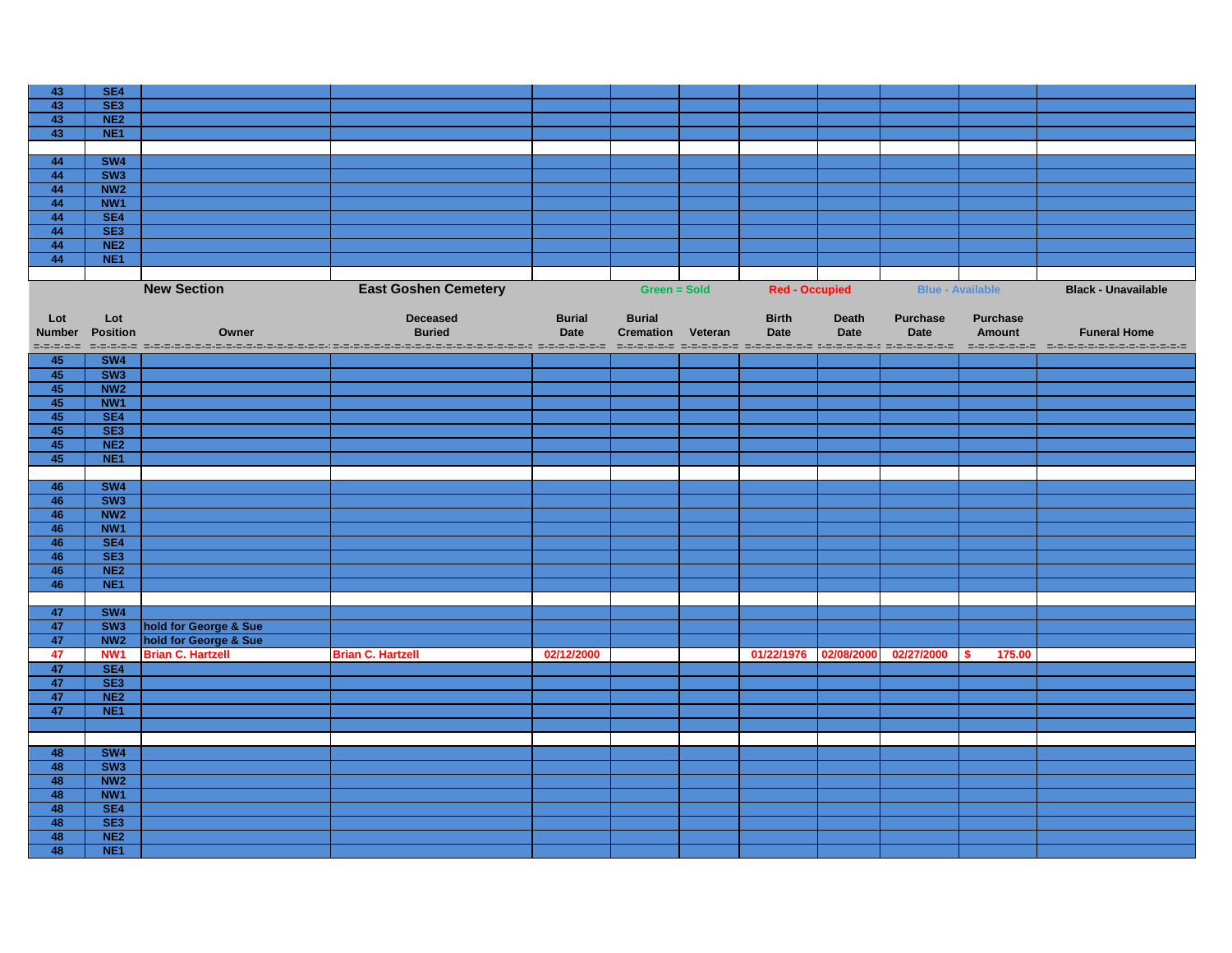| 43            | SE4                                |                          |                                                                                                     |               |                          |                       |              |                         |                 |                                                                                    |
|---------------|------------------------------------|--------------------------|-----------------------------------------------------------------------------------------------------|---------------|--------------------------|-----------------------|--------------|-------------------------|-----------------|------------------------------------------------------------------------------------|
| 43            | SE <sub>3</sub>                    |                          |                                                                                                     |               |                          |                       |              |                         |                 |                                                                                    |
| 43            | NE2                                |                          |                                                                                                     |               |                          |                       |              |                         |                 |                                                                                    |
| 43            | NE <sub>1</sub>                    |                          |                                                                                                     |               |                          |                       |              |                         |                 |                                                                                    |
|               |                                    |                          |                                                                                                     |               |                          |                       |              |                         |                 |                                                                                    |
| 44            | <b>SW4</b>                         |                          |                                                                                                     |               |                          |                       |              |                         |                 |                                                                                    |
|               |                                    |                          |                                                                                                     |               |                          |                       |              |                         |                 |                                                                                    |
| 44            | SW3                                |                          |                                                                                                     |               |                          |                       |              |                         |                 |                                                                                    |
| 44            | NW <sub>2</sub>                    |                          |                                                                                                     |               |                          |                       |              |                         |                 |                                                                                    |
| 44            | NW1                                |                          |                                                                                                     |               |                          |                       |              |                         |                 |                                                                                    |
| 44            | SE4                                |                          |                                                                                                     |               |                          |                       |              |                         |                 |                                                                                    |
| 44            | SE <sub>3</sub>                    |                          |                                                                                                     |               |                          |                       |              |                         |                 |                                                                                    |
| 44            | NE2                                |                          |                                                                                                     |               |                          |                       |              |                         |                 |                                                                                    |
| 44            | NE <sub>1</sub>                    |                          |                                                                                                     |               |                          |                       |              |                         |                 |                                                                                    |
|               |                                    |                          |                                                                                                     |               |                          |                       |              |                         |                 |                                                                                    |
|               |                                    | <b>New Section</b>       | <b>East Goshen Cemetery</b>                                                                         |               | Green = Sold             | <b>Red - Occupied</b> |              | <b>Blue - Available</b> |                 | <b>Black - Unavailable</b>                                                         |
|               |                                    |                          |                                                                                                     |               |                          |                       |              |                         |                 |                                                                                    |
| Lot           | Lot                                |                          | <b>Deceased</b>                                                                                     | <b>Burial</b> | <b>Burial</b>            | <b>Birth</b>          | <b>Death</b> | <b>Purchase</b>         | <b>Purchase</b> |                                                                                    |
|               |                                    |                          |                                                                                                     |               |                          |                       |              |                         |                 |                                                                                    |
| <b>Number</b> | <b>Position</b>                    | Owner                    | <b>Buried</b>                                                                                       | <b>Date</b>   | <b>Cremation Veteran</b> | <b>Date</b>           | <b>Date</b>  | <b>Date</b>             | <b>Amount</b>   | <b>Funeral Home</b>                                                                |
| =-=-=-=-=     |                                    |                          | anders andersen en de seule de la deux de la deux de la deux de la deux de la deux de la deux de la |               |                          |                       |              |                         |                 | secondo secondo secondo decembro de condecemento de condecemento de condecementos. |
| 45            | SW4                                |                          |                                                                                                     |               |                          |                       |              |                         |                 |                                                                                    |
| 45<br>45      | SW <sub>3</sub><br>NW <sub>2</sub> |                          |                                                                                                     |               |                          |                       |              |                         |                 |                                                                                    |
|               |                                    |                          |                                                                                                     |               |                          |                       |              |                         |                 |                                                                                    |
| 45            | NW <sub>1</sub>                    |                          |                                                                                                     |               |                          |                       |              |                         |                 |                                                                                    |
| 45            | SE4                                |                          |                                                                                                     |               |                          |                       |              |                         |                 |                                                                                    |
| 45            | SE3                                |                          |                                                                                                     |               |                          |                       |              |                         |                 |                                                                                    |
| 45            | NE2                                |                          |                                                                                                     |               |                          |                       |              |                         |                 |                                                                                    |
| 45            | NE <sub>1</sub>                    |                          |                                                                                                     |               |                          |                       |              |                         |                 |                                                                                    |
|               |                                    |                          |                                                                                                     |               |                          |                       |              |                         |                 |                                                                                    |
| 46            | <b>SW4</b>                         |                          |                                                                                                     |               |                          |                       |              |                         |                 |                                                                                    |
| 46            | SW <sub>3</sub>                    |                          |                                                                                                     |               |                          |                       |              |                         |                 |                                                                                    |
| 46            | NW <sub>2</sub>                    |                          |                                                                                                     |               |                          |                       |              |                         |                 |                                                                                    |
| 46            | NW1                                |                          |                                                                                                     |               |                          |                       |              |                         |                 |                                                                                    |
| 46            | SE4                                |                          |                                                                                                     |               |                          |                       |              |                         |                 |                                                                                    |
| 46            | SE3                                |                          |                                                                                                     |               |                          |                       |              |                         |                 |                                                                                    |
| 46            | NE <sub>2</sub>                    |                          |                                                                                                     |               |                          |                       |              |                         |                 |                                                                                    |
| 46            | NE <sub>1</sub>                    |                          |                                                                                                     |               |                          |                       |              |                         |                 |                                                                                    |
|               |                                    |                          |                                                                                                     |               |                          |                       |              |                         |                 |                                                                                    |
| 47            | SW4                                |                          |                                                                                                     |               |                          |                       |              |                         |                 |                                                                                    |
| 47            | SW <sub>3</sub>                    | hold for George & Sue    |                                                                                                     |               |                          |                       |              |                         |                 |                                                                                    |
| 47            | NW <sub>2</sub>                    | hold for George & Sue    |                                                                                                     |               |                          |                       |              |                         |                 |                                                                                    |
| 47            | NW <sub>1</sub>                    | <b>Brian C. Hartzell</b> |                                                                                                     | 02/12/2000    |                          | 01/22/1976            | 02/08/2000   | 02/27/2000              | 175.00<br>S.    |                                                                                    |
|               |                                    |                          | <b>Brian C. Hartzell</b>                                                                            |               |                          |                       |              |                         |                 |                                                                                    |
| 47            | SE4                                |                          |                                                                                                     |               |                          |                       |              |                         |                 |                                                                                    |
| 47            | SE3                                |                          |                                                                                                     |               |                          |                       |              |                         |                 |                                                                                    |
| 47            | NE2                                |                          |                                                                                                     |               |                          |                       |              |                         |                 |                                                                                    |
| 47            | NE <sub>1</sub>                    |                          |                                                                                                     |               |                          |                       |              |                         |                 |                                                                                    |
|               |                                    |                          |                                                                                                     |               |                          |                       |              |                         |                 |                                                                                    |
|               |                                    |                          |                                                                                                     |               |                          |                       |              |                         |                 |                                                                                    |
| 48            | SW4                                |                          |                                                                                                     |               |                          |                       |              |                         |                 |                                                                                    |
| 48            | SW3                                |                          |                                                                                                     |               |                          |                       |              |                         |                 |                                                                                    |
| 48            | NW <sub>2</sub>                    |                          |                                                                                                     |               |                          |                       |              |                         |                 |                                                                                    |
| 48            | NW <sub>1</sub>                    |                          |                                                                                                     |               |                          |                       |              |                         |                 |                                                                                    |
| 48            | SE4                                |                          |                                                                                                     |               |                          |                       |              |                         |                 |                                                                                    |
| 48            | SE3                                |                          |                                                                                                     |               |                          |                       |              |                         |                 |                                                                                    |
| 48            | NE2                                |                          |                                                                                                     |               |                          |                       |              |                         |                 |                                                                                    |
| 48            | NE <sub>1</sub>                    |                          |                                                                                                     |               |                          |                       |              |                         |                 |                                                                                    |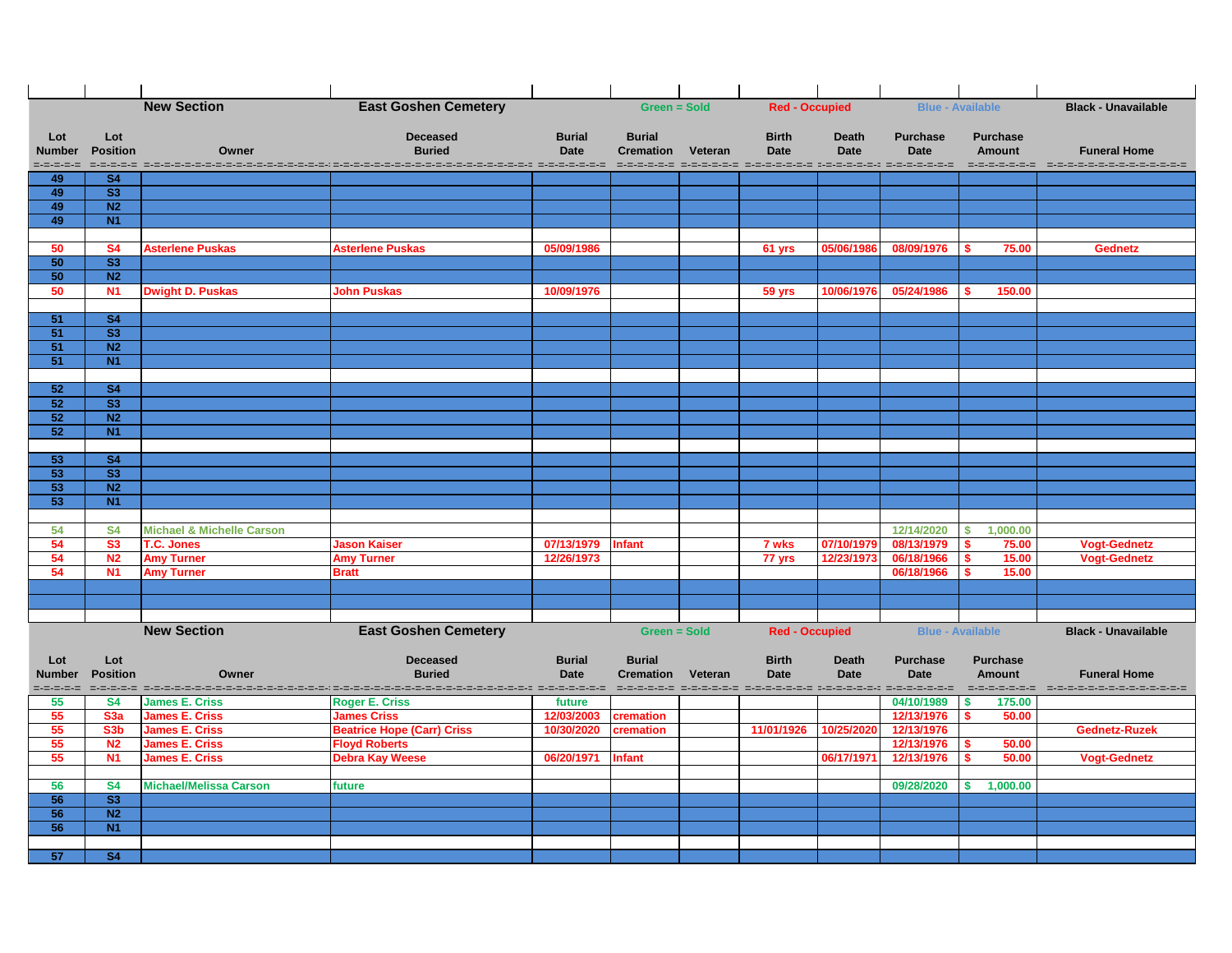|                      |                                     | <b>New Section</b>                   | <b>East Goshen Cemetery</b>                                                 |                              | <b>Green = Sold</b>               |         | <b>Red - Occupied</b>                                          |                             | <b>Blue - Available</b>        |                                  | <b>Black - Unavailable</b>                                                                    |
|----------------------|-------------------------------------|--------------------------------------|-----------------------------------------------------------------------------|------------------------------|-----------------------------------|---------|----------------------------------------------------------------|-----------------------------|--------------------------------|----------------------------------|-----------------------------------------------------------------------------------------------|
|                      |                                     |                                      |                                                                             |                              |                                   |         |                                                                |                             |                                |                                  |                                                                                               |
| Lot<br><b>Number</b> | Lot<br><b>Position</b>              | Owner                                | <b>Deceased</b><br><b>Buried</b>                                            | <b>Burial</b><br><b>Date</b> | <b>Burial</b><br><b>Cremation</b> | Veteran | <b>Birth</b><br><b>Date</b>                                    | <b>Death</b><br><b>Date</b> | <b>Purchase</b><br><b>Date</b> | <b>Purchase</b><br><b>Amount</b> | <b>Funeral Home</b>                                                                           |
| =-=-=-=-=            |                                     |                                      |                                                                             |                              |                                   |         |                                                                |                             |                                |                                  | section cooperation description des contrats de contrats (de contrats de contrats de contrats |
| 49                   | S <sub>4</sub>                      |                                      |                                                                             |                              |                                   |         |                                                                |                             |                                |                                  |                                                                                               |
| 49                   | $\overline{\text{S3}}$              |                                      |                                                                             |                              |                                   |         |                                                                |                             |                                |                                  |                                                                                               |
| 49                   | N <sub>2</sub>                      |                                      |                                                                             |                              |                                   |         |                                                                |                             |                                |                                  |                                                                                               |
| 49                   | N1                                  |                                      |                                                                             |                              |                                   |         |                                                                |                             |                                |                                  |                                                                                               |
|                      |                                     |                                      |                                                                             |                              |                                   |         |                                                                |                             |                                |                                  |                                                                                               |
| 50                   | <b>S4</b><br>$\overline{\text{S3}}$ | <b>Asterlene Puskas</b>              | <b>Asterlene Puskas</b>                                                     | 05/09/1986                   |                                   |         | 61 yrs                                                         | 05/06/1986                  | 08/09/1976                     | 75.00                            | <b>Gednetz</b>                                                                                |
| 50<br>50             | N <sub>2</sub>                      |                                      |                                                                             |                              |                                   |         |                                                                |                             |                                |                                  |                                                                                               |
| 50                   | <b>N1</b>                           | <b>Dwight D. Puskas</b>              | <b>John Puskas</b>                                                          | 10/09/1976                   |                                   |         | 59 yrs                                                         | 10/06/1976                  | 05/24/1986                     | 150.00                           |                                                                                               |
|                      |                                     |                                      |                                                                             |                              |                                   |         |                                                                |                             |                                |                                  |                                                                                               |
| 51                   | <b>S4</b>                           |                                      |                                                                             |                              |                                   |         |                                                                |                             |                                |                                  |                                                                                               |
| 51                   | $\overline{\text{S3}}$              |                                      |                                                                             |                              |                                   |         |                                                                |                             |                                |                                  |                                                                                               |
| 51                   | N <sub>2</sub>                      |                                      |                                                                             |                              |                                   |         |                                                                |                             |                                |                                  |                                                                                               |
| 51                   | N1                                  |                                      |                                                                             |                              |                                   |         |                                                                |                             |                                |                                  |                                                                                               |
|                      |                                     |                                      |                                                                             |                              |                                   |         |                                                                |                             |                                |                                  |                                                                                               |
| 52<br>52             | <b>S4</b><br>$\overline{\text{S3}}$ |                                      |                                                                             |                              |                                   |         |                                                                |                             |                                |                                  |                                                                                               |
| 52                   | N <sub>2</sub>                      |                                      |                                                                             |                              |                                   |         |                                                                |                             |                                |                                  |                                                                                               |
| 52                   | <b>N1</b>                           |                                      |                                                                             |                              |                                   |         |                                                                |                             |                                |                                  |                                                                                               |
|                      |                                     |                                      |                                                                             |                              |                                   |         |                                                                |                             |                                |                                  |                                                                                               |
| 53                   | <b>S4</b>                           |                                      |                                                                             |                              |                                   |         |                                                                |                             |                                |                                  |                                                                                               |
| 53                   | $\overline{\text{S3}}$              |                                      |                                                                             |                              |                                   |         |                                                                |                             |                                |                                  |                                                                                               |
| 53                   | N <sub>2</sub>                      |                                      |                                                                             |                              |                                   |         |                                                                |                             |                                |                                  |                                                                                               |
| 53                   | <b>N1</b>                           |                                      |                                                                             |                              |                                   |         |                                                                |                             |                                |                                  |                                                                                               |
| 54                   | <b>S4</b>                           | <b>Michael &amp; Michelle Carson</b> |                                                                             |                              |                                   |         |                                                                |                             | 12/14/2020                     | 1,000.00<br>S.                   |                                                                                               |
| 54                   | <b>S3</b>                           | <b>T.C. Jones</b>                    | <b>Jason Kaiser</b>                                                         | 07/13/1979                   | <b>Infant</b>                     |         | 7 wks                                                          | 07/10/1979                  | 08/13/1979                     | 75.00                            | <b>Vogt-Gednetz</b>                                                                           |
| 54                   | N <sub>2</sub>                      | <b>Amy Turner</b>                    | <b>Amy Turner</b>                                                           | 12/26/1973                   |                                   |         | 77 yrs                                                         | 12/23/1973                  | 06/18/1966                     | 15.00                            | <b>Vogt-Gednetz</b>                                                                           |
| 54                   | <b>N1</b>                           | <b>Amy Turner</b>                    | <b>Bratt</b>                                                                |                              |                                   |         |                                                                |                             | 06/18/1966                     | 15.00                            |                                                                                               |
|                      |                                     |                                      |                                                                             |                              |                                   |         |                                                                |                             |                                |                                  |                                                                                               |
|                      |                                     |                                      |                                                                             |                              |                                   |         |                                                                |                             |                                |                                  |                                                                                               |
|                      |                                     |                                      |                                                                             |                              |                                   |         |                                                                |                             |                                |                                  |                                                                                               |
|                      |                                     | <b>New Section</b>                   | <b>East Goshen Cemetery</b>                                                 |                              | <b>Green = Sold</b>               |         | <b>Red - Occupied</b>                                          |                             |                                | <b>Blue - Available</b>          | <b>Black - Unavailable</b>                                                                    |
| Lot                  | Lot                                 |                                      | <b>Deceased</b>                                                             | <b>Burial</b>                | <b>Burial</b>                     |         | <b>Birth</b>                                                   | <b>Death</b>                | <b>Purchase</b>                | <b>Purchase</b>                  |                                                                                               |
| <b>Number</b>        | <b>Position</b>                     | Owner                                | <b>Buried</b>                                                               | <b>Date</b>                  | <b>Cremation</b>                  | Veteran | <b>Date</b>                                                    | <b>Date</b>                 | <b>Date</b>                    | <b>Amount</b>                    | <b>Funeral Home</b>                                                                           |
|                      |                                     |                                      | adada adada adadadana adada adada adada adada adada adada adada adada adada |                              |                                   |         | dependent dependent personnel personnel de personnel personnel |                             |                                |                                  | dependence de la provincia de provincia de la                                                 |
| 55                   | <b>S4</b>                           | <b>James E. Criss</b>                | <b>Roger E. Criss</b>                                                       | future                       |                                   |         |                                                                |                             | 04/10/1989                     | 175.00                           |                                                                                               |
| 55                   | S <sub>3</sub> a                    | <b>James E. Criss</b>                | <b>James Criss</b>                                                          | 12/03/2003                   | cremation                         |         |                                                                |                             | 12/13/1976                     | 50.00                            |                                                                                               |
| 55                   | S <sub>3</sub> b                    | <b>James E. Criss</b>                | <b>Beatrice Hope (Carr) Criss</b>                                           | 10/30/2020                   | cremation                         |         | 11/01/1926                                                     | 10/25/2020                  | 12/13/1976                     |                                  | <b>Gednetz-Ruzek</b>                                                                          |
| 55                   | N <sub>2</sub>                      | <b>James E. Criss</b>                | <b>Floyd Roberts</b>                                                        |                              |                                   |         |                                                                |                             | 12/13/1976                     | 50.00                            |                                                                                               |
| 55                   | <b>N1</b>                           | <b>James E. Criss</b>                | <b>Debra Kay Weese</b>                                                      | 06/20/1971                   | <b>Infant</b>                     |         |                                                                | 06/17/1971                  | 12/13/1976                     | 50.00                            | <b>Vogt-Gednetz</b>                                                                           |
| 56                   | <b>S4</b>                           | <b>Michael/Melissa Carson</b>        | future                                                                      |                              |                                   |         |                                                                |                             | 09/28/2020                     | 1,000.00                         |                                                                                               |
| 56                   | <b>S3</b>                           |                                      |                                                                             |                              |                                   |         |                                                                |                             |                                |                                  |                                                                                               |
| 56                   | N <sub>2</sub>                      |                                      |                                                                             |                              |                                   |         |                                                                |                             |                                |                                  |                                                                                               |
| 56                   | N1                                  |                                      |                                                                             |                              |                                   |         |                                                                |                             |                                |                                  |                                                                                               |
|                      |                                     |                                      |                                                                             |                              |                                   |         |                                                                |                             |                                |                                  |                                                                                               |
| 57                   | <b>S4</b>                           |                                      |                                                                             |                              |                                   |         |                                                                |                             |                                |                                  |                                                                                               |